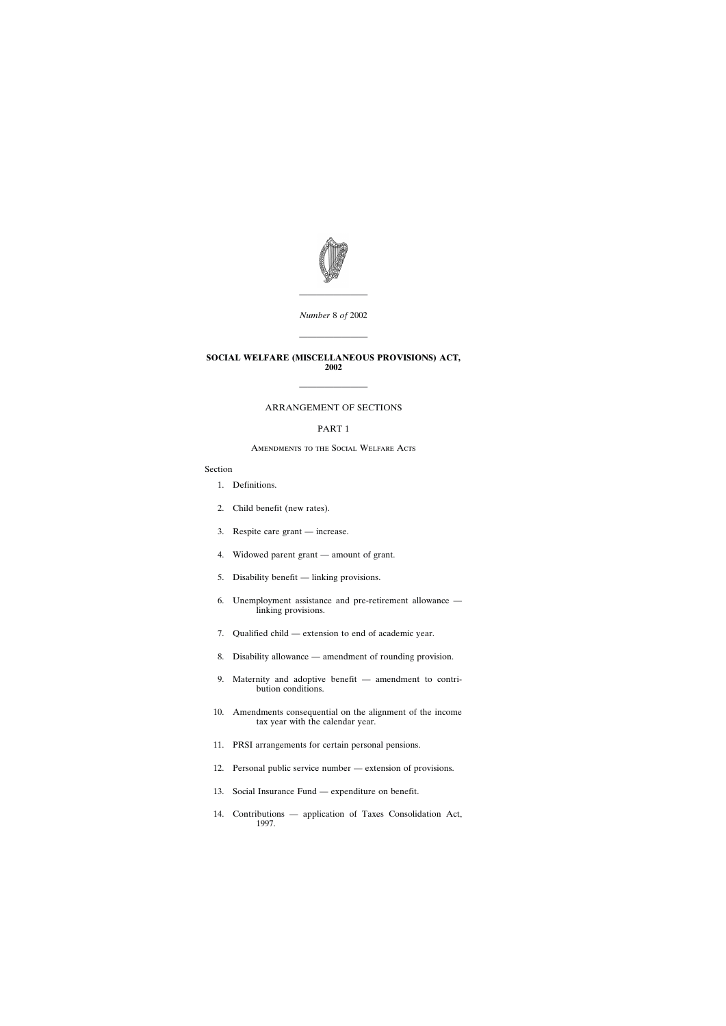

*Number* 8 *of* 2002

————————

————————

### **SOCIAL WELFARE (MISCELLANEOUS PROVISIONS) ACT, 2002**

## ARRANGEMENT OF SECTIONS

————————

## PART 1

### Amendments to the Social Welfare Acts

## Section

- [1. Definitions.](#page-4-0)
- [2. Child benefit \(new rates\).](#page-4-0)
- [3. Respite care grant increase.](#page-5-0)
- [4. Widowed parent grant amount of grant.](#page-5-0)
- [5. Disability benefit linking provisions.](#page-5-0)
- [6. Unemployment assistance and pre-retirement allowance](#page-5-0)  [linking provisions.](#page-5-0)
- [7. Qualified child extension to end of academic year.](#page-6-0)
- [8. Disability allowance amendment of rounding provision.](#page-7-0)
- [9. Maternity and adoptive benefit amendment to contri](#page-7-0)[bution conditions.](#page-7-0)
- [10. Amendments consequential on the alignment of the income](#page-8-0) [tax year with the calendar year.](#page-8-0)
- [11. PRSI arrangements for certain personal pensions.](#page-8-0)
- [12. Personal public service number extension of provisions.](#page-9-0)
- [13. Social Insurance Fund expenditure on benefit.](#page-11-0)
- [14. Contributions application of Taxes Consolidation Act,](#page-11-0) [1997.](#page-11-0)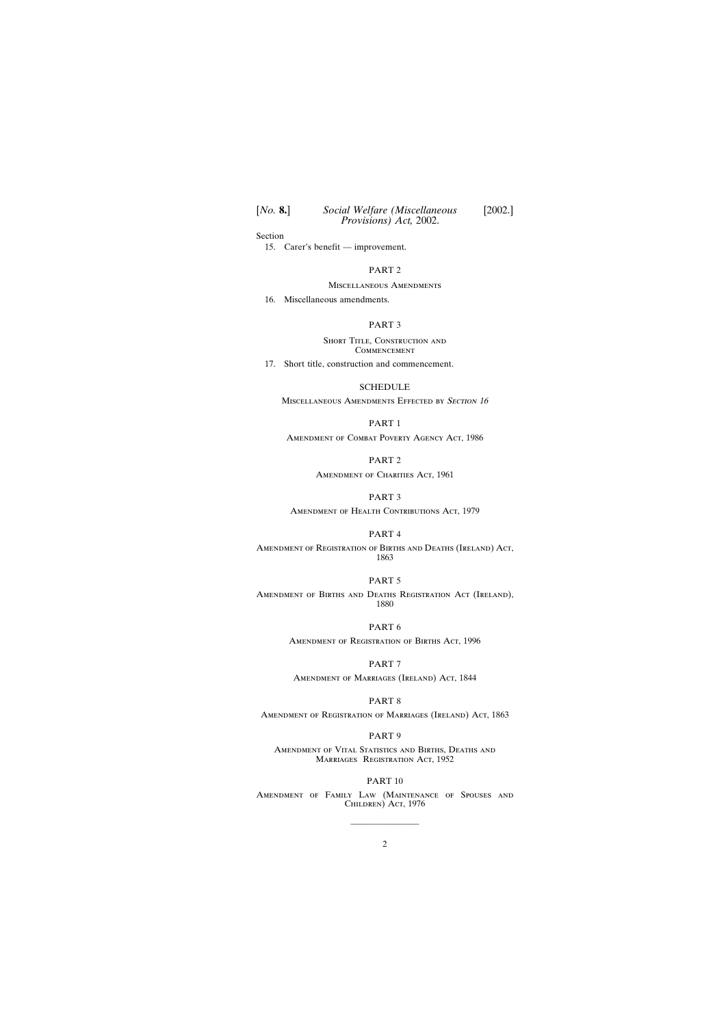Section

[15. Carer's benefit — improvement.](#page-12-0)

## PART 2

Miscellaneous Amendments

[16. Miscellaneous amendments.](#page-12-0)

#### PART 3

SHORT TITLE, CONSTRUCTION AND **COMMENCEMENT** 

[17. Short title, construction and commencement.](#page-12-0)

#### [SCHEDULE](#page-13-0)

MISCELLANEOUS AMENDMENTS EFFECTED BY SECTION 16

# PART 1

Amendment of Combat Poverty Agency Act, 1986

## PART 2

AMENDMENT OF CHARITIES ACT, 1961

## PART 3

Amendment of Health Contributions Act, 1979

## PART 4

Amendment of Registration of Births and Deaths (Ireland) Act, 1863

#### PART 5

Amendment of Births and Deaths Registration Act (Ireland), 1880

#### PART 6

Amendment of Registration of Births Act, 1996

#### PART 7

Amendment of Marriages (Ireland) Act, 1844

#### PART 8

Amendment of Registration of Marriages (Ireland) Act, 1863

#### PART 9

Amendment of Vital Statistics and Births, Deaths and MARRIAGES REGISTRATION ACT, 1952

#### PART 10

Amendment of Family Law (Maintenance of Spouses and CHILDREN) ACT, 1976

————————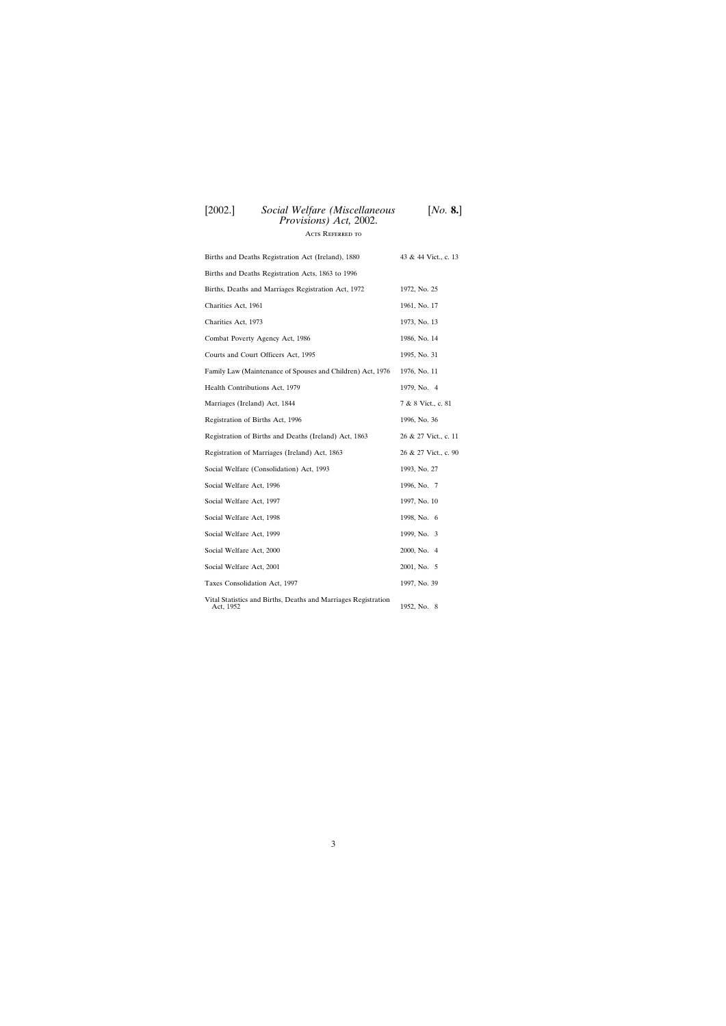Acts Referred to

| Births and Deaths Registration Act (Ireland), 1880                          | 43 & 44 Vict., c. 13 |
|-----------------------------------------------------------------------------|----------------------|
| Births and Deaths Registration Acts, 1863 to 1996                           |                      |
| Births, Deaths and Marriages Registration Act, 1972                         | 1972, No. 25         |
| Charities Act, 1961                                                         | 1961, No. 17         |
| Charities Act, 1973                                                         | 1973, No. 13         |
| Combat Poverty Agency Act, 1986                                             | 1986, No. 14         |
| Courts and Court Officers Act, 1995                                         | 1995, No. 31         |
| Family Law (Maintenance of Spouses and Children) Act, 1976                  | 1976, No. 11         |
| Health Contributions Act, 1979                                              | 1979, No. 4          |
| Marriages (Ireland) Act, 1844                                               | 7 & 8 Vict., c. 81   |
| Registration of Births Act, 1996                                            | 1996, No. 36         |
| Registration of Births and Deaths (Ireland) Act, 1863                       | 26 & 27 Vict., c. 11 |
| Registration of Marriages (Ireland) Act, 1863                               | 26 & 27 Vict., c. 90 |
| Social Welfare (Consolidation) Act, 1993                                    | 1993, No. 27         |
| Social Welfare Act, 1996                                                    | 1996, No. 7          |
| Social Welfare Act, 1997                                                    | 1997, No. 10         |
| Social Welfare Act, 1998                                                    | 1998, No. 6          |
| Social Welfare Act, 1999                                                    | 1999, No. 3          |
| Social Welfare Act, 2000                                                    | 2000, No. 4          |
| Social Welfare Act, 2001                                                    | 2001, No. 5          |
| Taxes Consolidation Act, 1997                                               | 1997, No. 39         |
| Vital Statistics and Births, Deaths and Marriages Registration<br>Act, 1952 | 1952, No. 8          |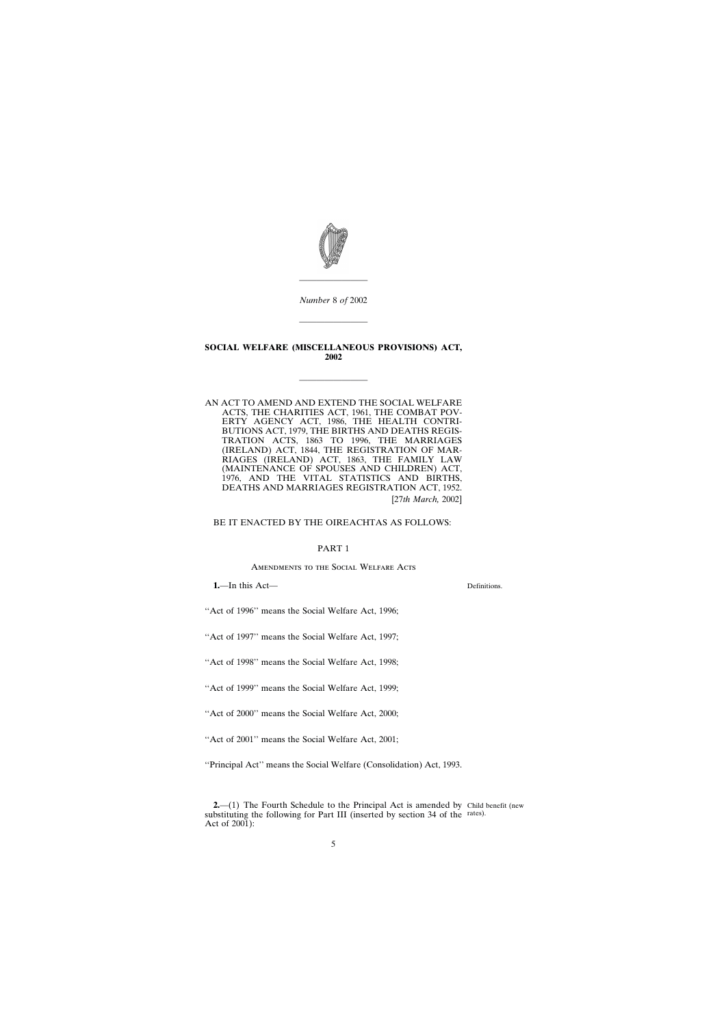<span id="page-4-0"></span>

*Number* 8 *of* 2002

————————

## **SOCIAL WELFARE (MISCELLANEOUS PROVISIONS) ACT, 2002**

————————

AN ACT TO AMEND AND EXTEND THE SOCIAL WELFARE ACTS, THE CHARITIES ACT, 1961, THE COMBAT POV-ERTY AGENCY ACT, 1986, THE HEALTH CONTRI-BUTIONS ACT, 1979, THE BIRTHS AND DEATHS REGIS-TRATION ACTS, 1863 TO 1996, THE MARRIAGES (IRELAND) ACT, 1844, THE REGISTRATION OF MAR-RIAGES (IRELAND) ACT, 1863, THE FAMILY LAW (MAINTENANCE OF SPOUSES AND CHILDREN) ACT, 1976, AND THE VITAL STATISTICS AND BIRTHS, DEATHS AND MARRIAGES REGISTRATION ACT, 1952. [27*th March,* 2002]

## BE IT ENACTED BY THE OIREACHTAS AS FOLLOWS:

### PART 1

Amendments to the Social Welfare Acts

**1.**—In this Act—

Definitions.

''Act of 1996'' means the Social Welfare Act, 1996;

''Act of 1997'' means the Social Welfare Act, 1997;

''Act of 1998'' means the Social Welfare Act, 1998;

''Act of 1999'' means the Social Welfare Act, 1999;

''Act of 2000'' means the Social Welfare Act, 2000;

"Act of 2001" means the Social Welfare Act, 2001;

''Principal Act'' means the Social Welfare (Consolidation) Act, 1993.

**<sup>2.</sup>**—(1) The Fourth Schedule to the Principal Act is amended by Child benefit (new substituting the following for Part III (inserted by section 34 of the rates).Act of 2001):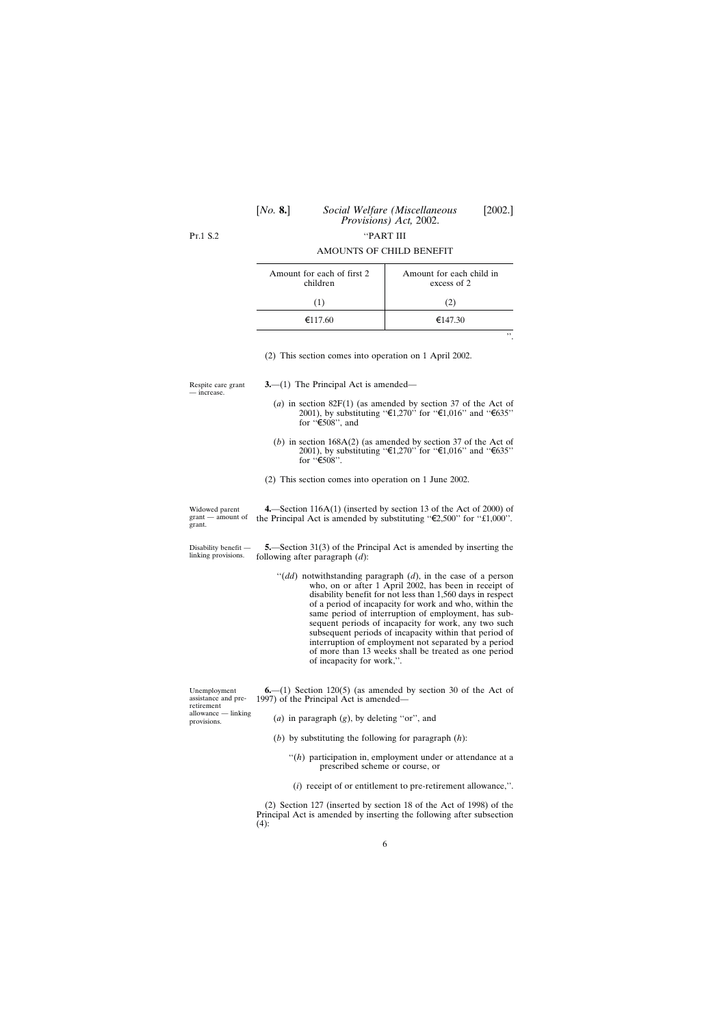| [No. 8.] | Social Welfare (Miscellaneous<br>Provisions) Act, 2002. | [2002.] |
|----------|---------------------------------------------------------|---------|
|          | "PART III                                               |         |

<span id="page-5-0"></span> $Pr1S2$ 

| Amount for each of first 2<br>children | Amount for each child in<br>excess of 2 |
|----------------------------------------|-----------------------------------------|
| (1)                                    | (2)                                     |
| €117.60                                | €147.30                                 |
|                                        |                                         |

#### AMOUNTS OF CHILD BENEFIT

''.

(2) This section comes into operation on 1 April 2002.

Respite care grant — increase.

**3.**—(1) The Principal Act is amended—

- (*a*) in section 82F(1) (as amended by section 37 of the Act of 2001), by substituting " $\epsilon_1$ ,270" for " $\epsilon_1$ ,016" and " $\epsilon_0$ 35" for  $\sqrt[4]{508}$ , and
- (*b*) in section 168A(2) (as amended by section 37 of the Act of 2001), by substituting " $\epsilon$ 1,270" for " $\epsilon$ 1,016" and " $\epsilon$ 635" for  $\sqrt[4]{508}$ ".

(2) This section comes into operation on 1 June 2002.

Widowed parent grant — amount of grant. **4.**—Section 116A(1) (inserted by section 13 of the Act of 2000) of the Principal Act is amended by substituting " $\epsilon$ 2,500" for "£1,000".

Disability benefit linking provisions.

**5.**—Section 31(3) of the Principal Act is amended by inserting the following after paragraph (*d*):

''(*dd*) notwithstanding paragraph (*d*), in the case of a person who, on or after 1 April 2002, has been in receipt of disability benefit for not less than 1,560 days in respect of a period of incapacity for work and who, within the same period of interruption of employment, has subsequent periods of incapacity for work, any two such subsequent periods of incapacity within that period of interruption of employment not separated by a period of more than 13 weeks shall be treated as one period of incapacity for work,''.

| Unemployment<br>assistance and pre-<br>retirement | $6-(1)$ Section 120(5) (as amended by section 30 of the Act of<br>1997) of the Principal Act is amended— |
|---------------------------------------------------|----------------------------------------------------------------------------------------------------------|
| allowance — linking<br>provisions.                | (a) in paragraph $(g)$ , by deleting "or", and                                                           |

- (*b*) by substituting the following for paragraph (*h*):
	- "(h) participation in, employment under or attendance at a prescribed scheme or course, or
	- (*i*) receipt of or entitlement to pre-retirement allowance,''.

(2) Section 127 (inserted by section 18 of the Act of 1998) of the Principal Act is amended by inserting the following after subsection  $(4)$ :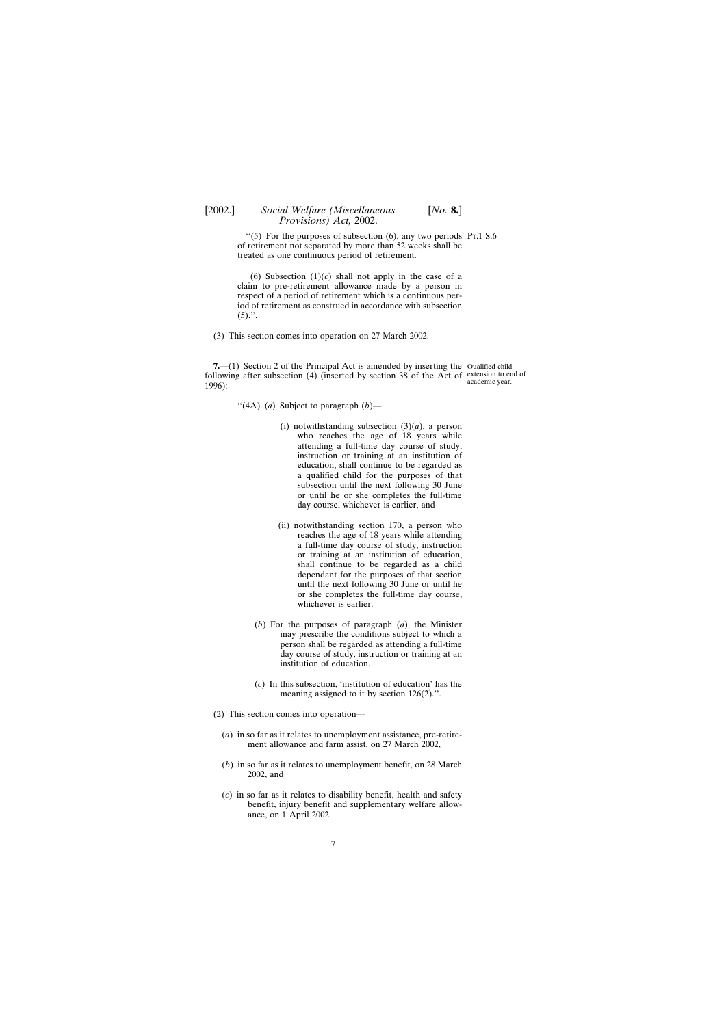<span id="page-6-0"></span> $\cdot$ (5) For the purposes of subsection (6), any two periods Pt.1 S.6 of retirement not separated by more than 52 weeks shall be treated as one continuous period of retirement.

(6) Subsection  $(1)(c)$  shall not apply in the case of a claim to pre-retirement allowance made by a person in respect of a period of retirement which is a continuous period of retirement as construed in accordance with subsection  $(5)$ .".

(3) This section comes into operation on 27 March 2002.

**7.**—(1) Section 2 of the Principal Act is amended by inserting the Qualified child following after subsection  $(4)$  (inserted by section 38 of the Act of extension to end of 1996): academic year.

''(4A) (*a*) Subject to paragraph (*b*)—

- (i) notwithstanding subsection  $(3)(a)$ , a person who reaches the age of 18 years while attending a full-time day course of study, instruction or training at an institution of education, shall continue to be regarded as a qualified child for the purposes of that subsection until the next following 30 June or until he or she completes the full-time day course, whichever is earlier, and
- (ii) notwithstanding section 170, a person who reaches the age of 18 years while attending a full-time day course of study, instruction or training at an institution of education, shall continue to be regarded as a child dependant for the purposes of that section until the next following 30 June or until he or she completes the full-time day course, whichever is earlier.
- (*b*) For the purposes of paragraph (*a*), the Minister may prescribe the conditions subject to which a person shall be regarded as attending a full-time day course of study, instruction or training at an institution of education.
- (*c*) In this subsection, 'institution of education' has the meaning assigned to it by section 126(2).''.
- (2) This section comes into operation—
	- (*a*) in so far as it relates to unemployment assistance, pre-retirement allowance and farm assist, on 27 March 2002,
	- (*b*) in so far as it relates to unemployment benefit, on 28 March 2002, and
	- (*c*) in so far as it relates to disability benefit, health and safety benefit, injury benefit and supplementary welfare allowance, on 1 April 2002.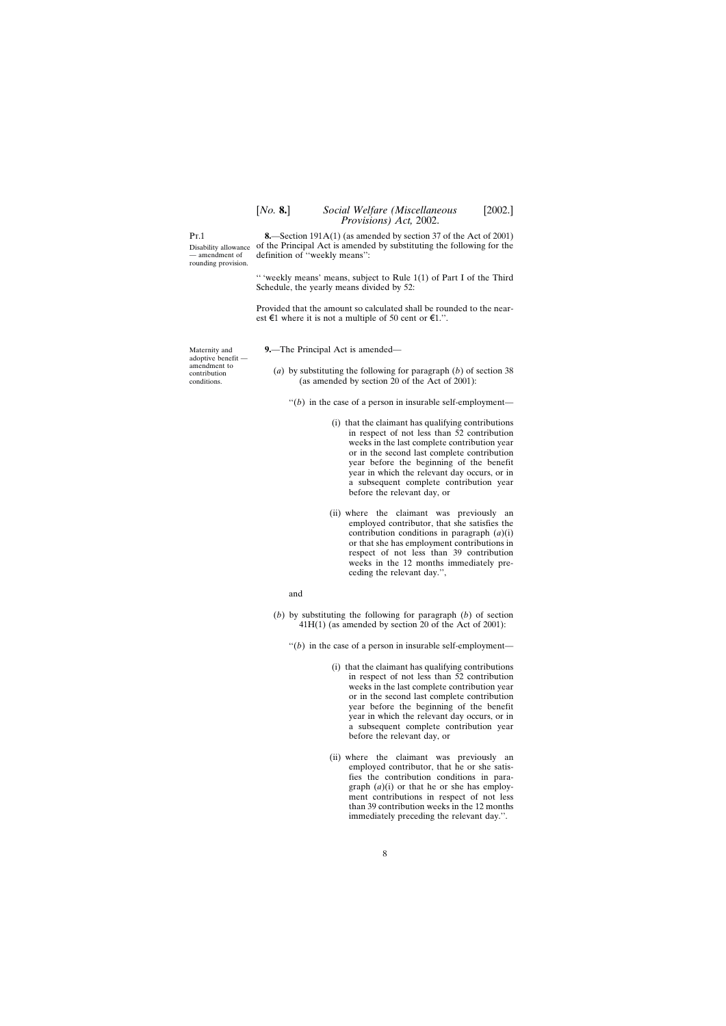<span id="page-7-0"></span> $Pr_1$ 

Disability allowance — amendment of rounding provision.

**8.**—Section 191A(1) (as amended by section 37 of the Act of 2001) of the Principal Act is amended by substituting the following for the definition of ''weekly means'':

'' 'weekly means' means, subject to Rule 1(1) of Part I of the Third Schedule, the yearly means divided by 52:

Provided that the amount so calculated shall be rounded to the nearest  $\epsilon$ 1 where it is not a multiple of 50 cent or  $\epsilon$ 1.".

**9.**—The Principal Act is amended—

(*a*) by substituting the following for paragraph (*b*) of section 38 (as amended by section 20 of the Act of 2001):

 $''(b)$  in the case of a person in insurable self-employment—

- (i) that the claimant has qualifying contributions in respect of not less than 52 contribution weeks in the last complete contribution year or in the second last complete contribution year before the beginning of the benefit year in which the relevant day occurs, or in a subsequent complete contribution year before the relevant day, or
- (ii) where the claimant was previously an employed contributor, that she satisfies the contribution conditions in paragraph (*a*)(i) or that she has employment contributions in respect of not less than 39 contribution weeks in the 12 months immediately preceding the relevant day.'',

and

- (*b*) by substituting the following for paragraph (*b*) of section 41H(1) (as amended by section 20 of the Act of 2001):
	- $''(b)$  in the case of a person in insurable self-employment—
		- (i) that the claimant has qualifying contributions in respect of not less than 52 contribution weeks in the last complete contribution year or in the second last complete contribution year before the beginning of the benefit year in which the relevant day occurs, or in a subsequent complete contribution year before the relevant day, or
		- (ii) where the claimant was previously an employed contributor, that he or she satisfies the contribution conditions in paragraph (*a*)(i) or that he or she has employment contributions in respect of not less than 39 contribution weeks in the 12 months immediately preceding the relevant day.''.

Maternity and adoptive benefit amendment to contribution conditions.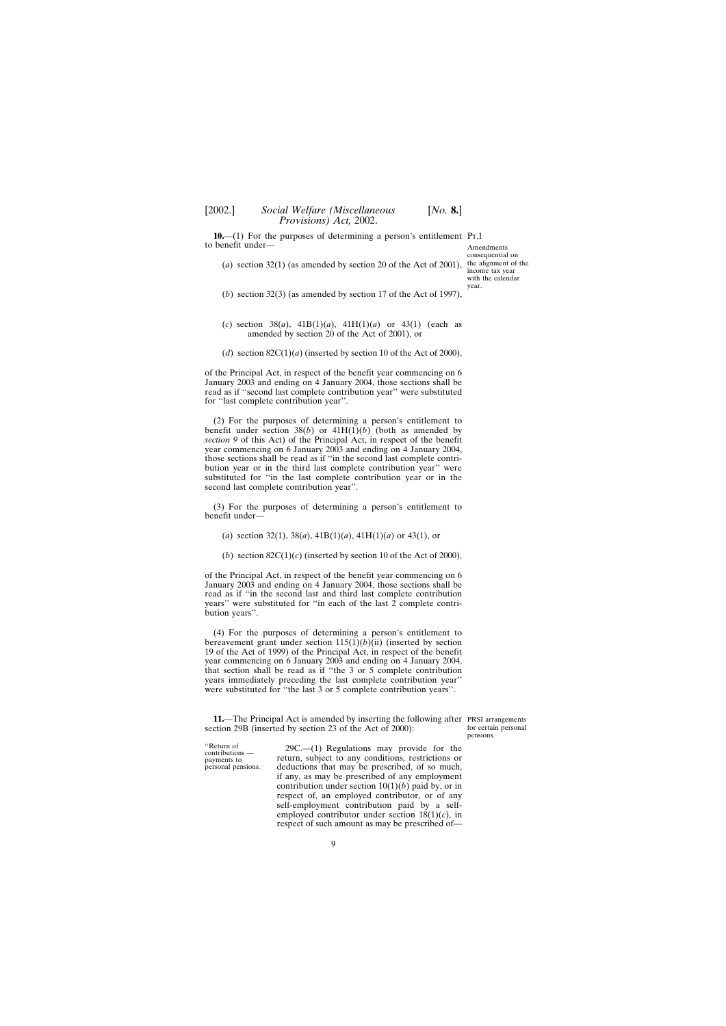<span id="page-8-0"></span>**10.**—(1) For the purposes of determining a person's entitlement Pr.1 to benefit under—

Amendments consequential on income tax year with the calendar year.

- (*a*) section 32(1) (as amended by section 20 of the Act of 2001), the alignment of the
- (*b*) section 32(3) (as amended by section 17 of the Act of 1997),
- (*c*) section 38(*a*), 41B(1)(*a*), 41H(1)(*a*) or 43(1) (each as amended by section 20 of the Act of 2001), or
- (*d*) section  $82C(1)(a)$  (inserted by section 10 of the Act of 2000),

of the Principal Act, in respect of the benefit year commencing on 6 January 2003 and ending on 4 January 2004, those sections shall be read as if ''second last complete contribution year'' were substituted for ''last complete contribution year''.

(2) For the purposes of determining a person's entitlement to benefit under section  $38(b)$  or  $41H(1)(b)$  (both as amended by *section 9* of this Act) of the Principal Act, in respect of the benefit year commencing on 6 January 2003 and ending on 4 January 2004, those sections shall be read as if ''in the second last complete contribution year or in the third last complete contribution year'' were substituted for ''in the last complete contribution year or in the second last complete contribution year''.

(3) For the purposes of determining a person's entitlement to benefit under—

(*a*) section 32(1), 38(*a*), 41B(1)(*a*), 41H(1)(*a*) or 43(1), or

(*b*) section  $82C(1)(c)$  (inserted by section 10 of the Act of 2000),

of the Principal Act, in respect of the benefit year commencing on 6 January 2003 and ending on 4 January 2004, those sections shall be read as if ''in the second last and third last complete contribution years" were substituted for "in each of the last  $\tilde{2}$  complete contribution years''.

(4) For the purposes of determining a person's entitlement to bereavement grant under section  $115(1)(b)(ii)$  (inserted by section 19 of the Act of 1999) of the Principal Act, in respect of the benefit year commencing on 6 January 2003 and ending on 4 January 2004, that section shall be read as if ''the 3 or 5 complete contribution years immediately preceding the last complete contribution year'' were substituted for ''the last 3 or 5 complete contribution years''.

**11.**—The Principal Act is amended by inserting the following after PRSI arrangements section 29B (inserted by section 23 of the Act of 2000):

"Return of  $29C$ —(1) Regulations may provide for the contributions — return, subject to any conditions, restrictions or payments to return, subject to any conditions, restrictions or<br>personal pensions. deductions that may be prescribed, of so much. deductions that may be prescribed, of so much, if any, as may be prescribed of any employment contribution under section  $10(1)(b)$  paid by, or in respect of, an employed contributor, or of any self-employment contribution paid by a selfemployed contributor under section 18(1)(*c*), in respect of such amount as may be prescribed of—

for certain personal pensions.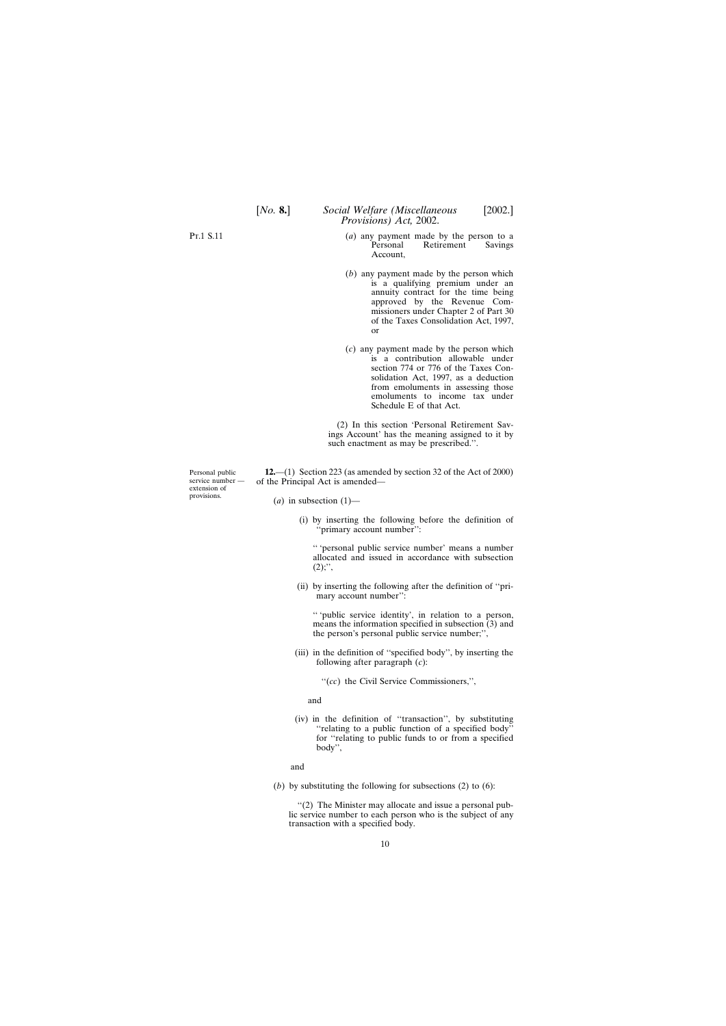(*a*) any payment made by the person to a<br>Personal Retirement Savings Retirement Account,

*Provisions) Act,* 2002.

- (*b*) any payment made by the person which is a qualifying premium under an annuity contract for the time being approved by the Revenue Commissioners under Chapter 2 of Part 30 of the Taxes Consolidation Act, 1997, or
- (*c*) any payment made by the person which is a contribution allowable under section 774 or 776 of the Taxes Consolidation Act, 1997, as a deduction from emoluments in assessing those emoluments to income tax under Schedule E of that Act.

(2) In this section 'Personal Retirement Savings Account' has the meaning assigned to it by such enactment as may be prescribed.''.

**12.**—(1) Section 223 (as amended by section 32 of the Act of 2000) of the Principal Act is amended—

 $(a)$  in subsection  $(1)$ —

(i) by inserting the following before the definition of ''primary account number'':

'' 'personal public service number' means a number allocated and issued in accordance with subsection  $(2)$ ;",

(ii) by inserting the following after the definition of ''primary account number'':

'' 'public service identity', in relation to a person, means the information specified in subsection (3) and the person's personal public service number;'',

- (iii) in the definition of ''specified body'', by inserting the following after paragraph (*c*):
	- ''(*cc*) the Civil Service Commissioners,'',

and

(iv) in the definition of ''transaction'', by substituting ''relating to a public function of a specified body'' for ''relating to public funds to or from a specified body'',

and

(*b*) by substituting the following for subsections (2) to (6):

''(2) The Minister may allocate and issue a personal public service number to each person who is the subject of any transaction with a specified body.

Personal public service number extension of provisions.

<span id="page-9-0"></span>P<sub>T</sub>.1 S.11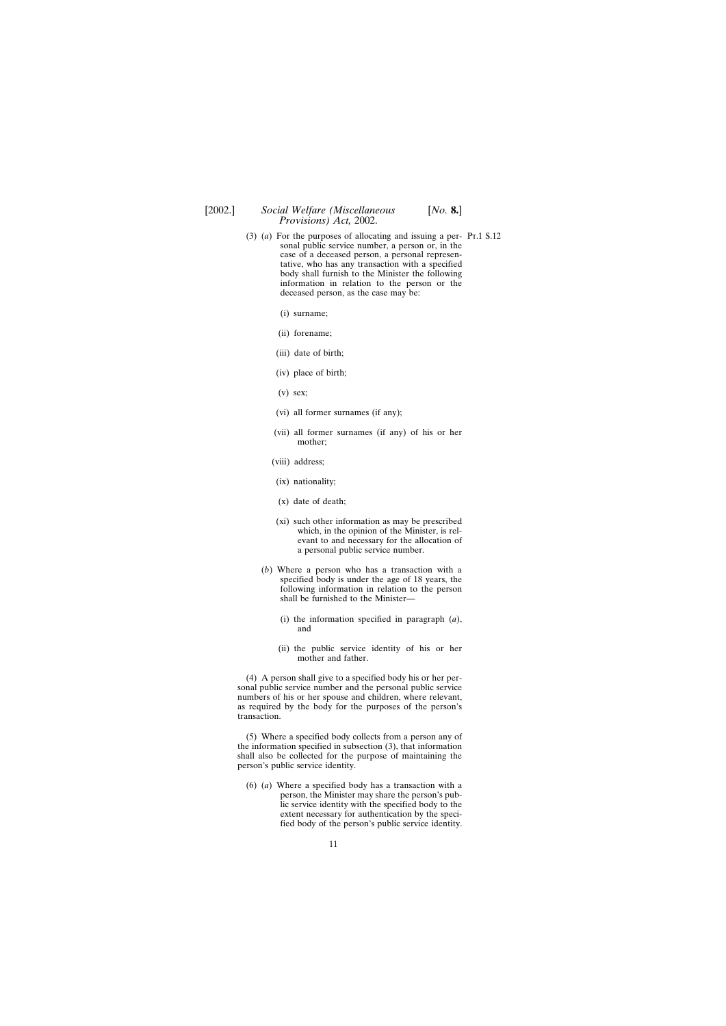- (3) (*a*) For the purposes of allocating and issuing a per- Pt.1 S.12 sonal public service number, a person or, in the case of a deceased person, a personal representative, who has any transaction with a specified body shall furnish to the Minister the following information in relation to the person or the deceased person, as the case may be:
	- (i) surname;
	- (ii) forename;
	- (iii) date of birth;
	- (iv) place of birth;
	- $(v)$  sex;
	- (vi) all former surnames (if any);
	- (vii) all former surnames (if any) of his or her mother;
	- (viii) address;
		- (ix) nationality;
		- (x) date of death;
		- (xi) such other information as may be prescribed which, in the opinion of the Minister, is relevant to and necessary for the allocation of a personal public service number.
	- (*b*) Where a person who has a transaction with a specified body is under the age of 18 years, the following information in relation to the person shall be furnished to the Minister—
		- (i) the information specified in paragraph (*a*), and
		- (ii) the public service identity of his or her mother and father.

(4) A person shall give to a specified body his or her personal public service number and the personal public service numbers of his or her spouse and children, where relevant, as required by the body for the purposes of the person's transaction.

(5) Where a specified body collects from a person any of the information specified in subsection (3), that information shall also be collected for the purpose of maintaining the person's public service identity.

(6) (*a*) Where a specified body has a transaction with a person, the Minister may share the person's public service identity with the specified body to the extent necessary for authentication by the specified body of the person's public service identity.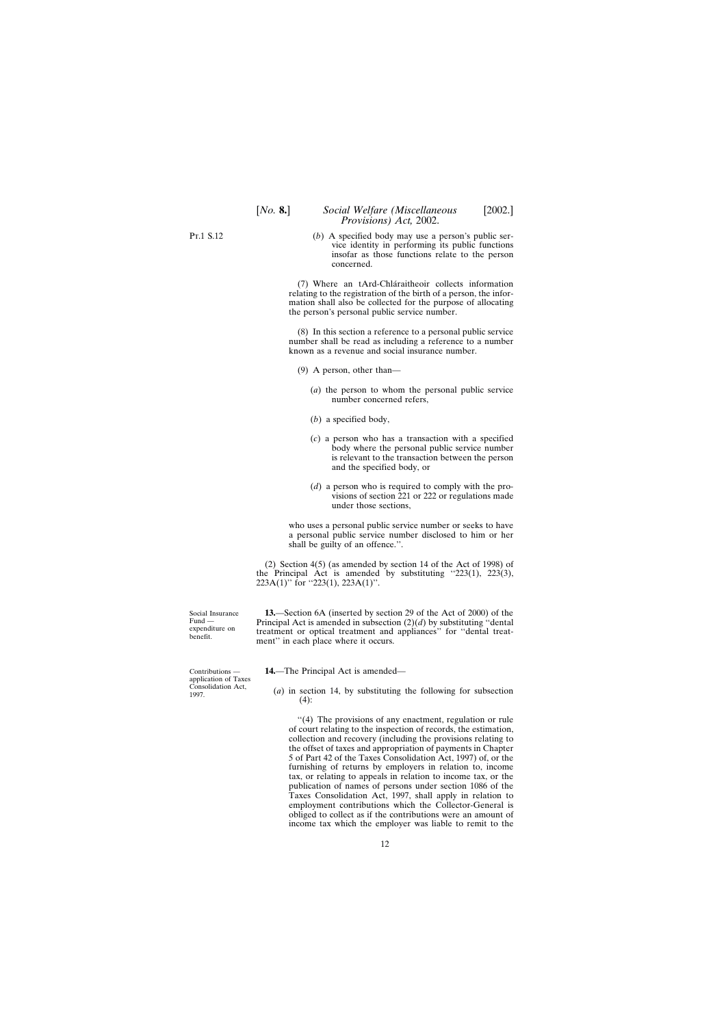<span id="page-11-0"></span>(*b*) A specified body may use a person's public service identity in performing its public functions insofar as those functions relate to the person concerned.

(7) Where an tArd-Chla´raitheoir collects information relating to the registration of the birth of a person, the information shall also be collected for the purpose of allocating the person's personal public service number.

(8) In this section a reference to a personal public service number shall be read as including a reference to a number known as a revenue and social insurance number.

(9) A person, other than—

- (*a*) the person to whom the personal public service number concerned refers,
- (*b*) a specified body,
- (*c*) a person who has a transaction with a specified body where the personal public service number is relevant to the transaction between the person and the specified body, or
- (*d*) a person who is required to comply with the provisions of section 221 or 222 or regulations made under those sections,

who uses a personal public service number or seeks to have a personal public service number disclosed to him or her shall be guilty of an offence.''.

(2) Section 4(5) (as amended by section 14 of the Act of 1998) of the Principal Act is amended by substituting  $223(1)$ ,  $223(3)$ ,  $223A(1)$ " for "223(1), 223A(1)".

**13.**—Section 6A (inserted by section 29 of the Act of 2000) of the Principal Act is amended in subsection (2)(*d*) by substituting ''dental treatment or optical treatment and appliances'' for ''dental treatment" in each place where it occurs.

**14.**—The Principal Act is amended—

(*a*) in section 14, by substituting the following for subsection (4):

''(4) The provisions of any enactment, regulation or rule of court relating to the inspection of records, the estimation, collection and recovery (including the provisions relating to the offset of taxes and appropriation of payments in Chapter 5 of Part 42 of the Taxes Consolidation Act, 1997) of, or the furnishing of returns by employers in relation to, income tax, or relating to appeals in relation to income tax, or the publication of names of persons under section 1086 of the Taxes Consolidation Act, 1997, shall apply in relation to employment contributions which the Collector-General is obliged to collect as if the contributions were an amount of income tax which the employer was liable to remit to the

Social Insurance Fund expenditure on benefit.

Contributions application of Taxes Consolidation Act, 1997.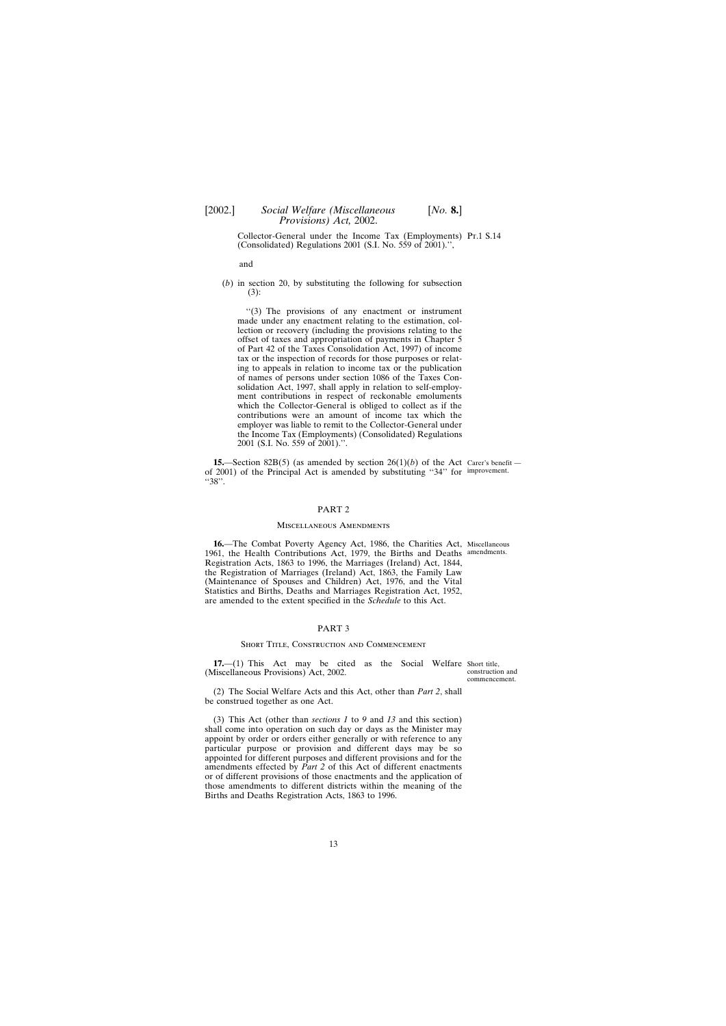<span id="page-12-0"></span>Collector-General under the Income Tax (Employments) Pt.1 S.14 (Consolidated) Regulations 2001 (S.I. No. 559 of 2001).'',

and

(*b*) in section 20, by substituting the following for subsection (3):

''(3) The provisions of any enactment or instrument made under any enactment relating to the estimation, collection or recovery (including the provisions relating to the offset of taxes and appropriation of payments in Chapter 5 of Part 42 of the Taxes Consolidation Act, 1997) of income tax or the inspection of records for those purposes or relating to appeals in relation to income tax or the publication of names of persons under section 1086 of the Taxes Consolidation Act, 1997, shall apply in relation to self-employment contributions in respect of reckonable emoluments which the Collector-General is obliged to collect as if the contributions were an amount of income tax which the employer was liable to remit to the Collector-General under the Income Tax (Employments) (Consolidated) Regulations 2001 (S.I. No. 559 of 2001).''.

**15.**—Section 82B(5) (as amended by section 26(1)(*b*) of the Act Carer's benefit of 2001) of the Principal Act is amended by substituting ''34'' for improvement. ''38''.

### PART 2

#### Miscellaneous Amendments

**16.**—The Combat Poverty Agency Act, 1986, the Charities Act, Miscellaneous 1961, the Health Contributions Act, 1979, the Births and Deaths amendments. Registration Acts, 1863 to 1996, the Marriages (Ireland) Act, 1844, the Registration of Marriages (Ireland) Act, 1863, the Family Law (Maintenance of Spouses and Children) Act, 1976, and the Vital Statistics and Births, Deaths and Marriages Registration Act, 1952, are amended to the extent specified in the *Schedule* to this Act.

#### PART 3

#### SHORT TITLE, CONSTRUCTION AND COMMENCEMENT

**17.**—(1) This Act may be cited as the Social Welfare Short title, (Miscellaneous Provisions) Act, 2002.

construction and commencement.

(2) The Social Welfare Acts and this Act, other than *Part 2*, shall be construed together as one Act.

(3) This Act (other than *sections 1* to *9* and *13* and this section) shall come into operation on such day or days as the Minister may appoint by order or orders either generally or with reference to any particular purpose or provision and different days may be so appointed for different purposes and different provisions and for the amendments effected by *Part 2* of this Act of different enactments or of different provisions of those enactments and the application of those amendments to different districts within the meaning of the Births and Deaths Registration Acts, 1863 to 1996.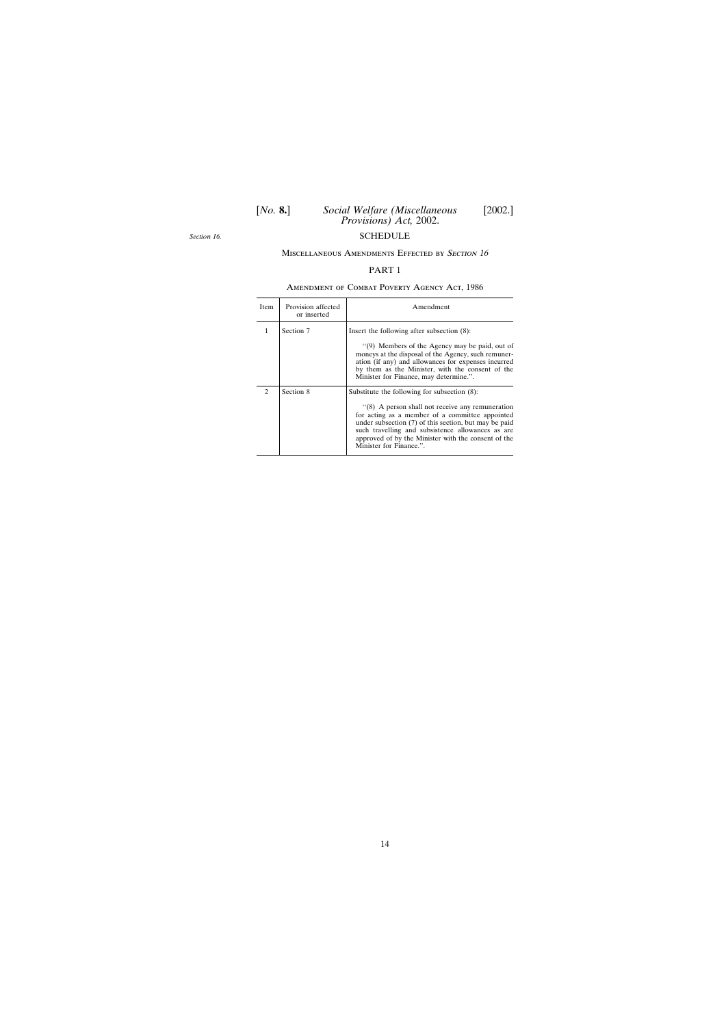<span id="page-13-0"></span>*Section 16.*

## MISCELLANEOUS AMENDMENTS EFFECTED BY SECTION 16

## PART 1

## Amendment of Combat Poverty Agency Act, 1986

| Item                        | Provision affected<br>or inserted | Amendment                                                                                                                                                                                                                                                                                                                                           |
|-----------------------------|-----------------------------------|-----------------------------------------------------------------------------------------------------------------------------------------------------------------------------------------------------------------------------------------------------------------------------------------------------------------------------------------------------|
| 1                           | Section 7                         | Insert the following after subsection (8):<br>"(9) Members of the Agency may be paid, out of<br>moneys at the disposal of the Agency, such remuner-<br>ation (if any) and allowances for expenses incurred<br>by them as the Minister, with the consent of the<br>Minister for Finance, may determine.".                                            |
| $\mathcal{D}_{\mathcal{L}}$ | Section 8                         | Substitute the following for subsection (8):<br>"(8) A person shall not receive any remuneration<br>for acting as a member of a committee appointed<br>under subsection (7) of this section, but may be paid<br>such travelling and subsistence allowances as are<br>approved of by the Minister with the consent of the<br>Minister for Finance.". |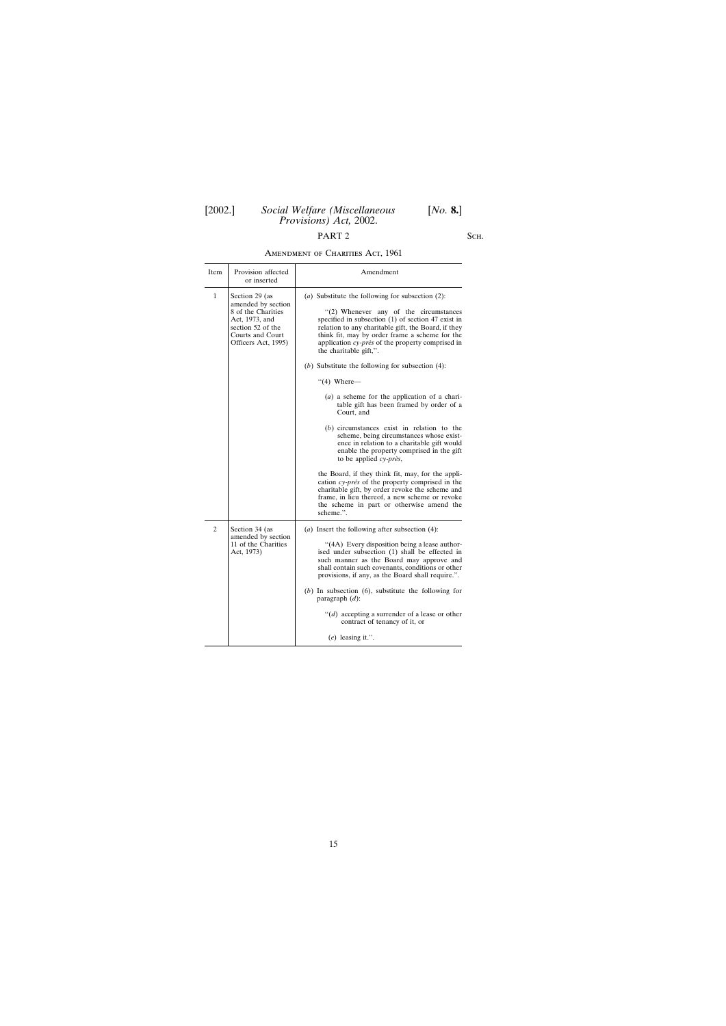# PART 2 SCH.

| AMENDMENT OF CHARITIES ACT, 1961 |  |
|----------------------------------|--|

| Item         | Provision affected<br>or inserted                                                                                                            | Amendment                                                                                                                                                                                                                                                                                                                                                                                                                                                                                                                                                                                                                                                                                                                                                                                                                                                                                                                                                                                                            |
|--------------|----------------------------------------------------------------------------------------------------------------------------------------------|----------------------------------------------------------------------------------------------------------------------------------------------------------------------------------------------------------------------------------------------------------------------------------------------------------------------------------------------------------------------------------------------------------------------------------------------------------------------------------------------------------------------------------------------------------------------------------------------------------------------------------------------------------------------------------------------------------------------------------------------------------------------------------------------------------------------------------------------------------------------------------------------------------------------------------------------------------------------------------------------------------------------|
| $\mathbf{1}$ | Section 29 (as<br>amended by section<br>8 of the Charities<br>Act, 1973, and<br>section 52 of the<br>Courts and Court<br>Officers Act, 1995) | (a) Substitute the following for subsection $(2)$ :<br>"(2) Whenever any of the circumstances<br>specified in subsection (1) of section 47 exist in<br>relation to any charitable gift, the Board, if they<br>think fit, may by order frame a scheme for the<br>application cy-près of the property comprised in<br>the charitable gift,".<br>(b) Substitute the following for subsection $(4)$ :<br>$\degree$ (4) Where-<br>$(a)$ a scheme for the application of a chari-<br>table gift has been framed by order of a<br>Court, and<br>$(b)$ circumstances exist in relation to the<br>scheme, being circumstances whose exist-<br>ence in relation to a charitable gift would<br>enable the property comprised in the gift<br>to be applied $cy$ -près,<br>the Board, if they think fit, may, for the appli-<br>cation cy-près of the property comprised in the<br>charitable gift, by order revoke the scheme and<br>frame, in lieu thereof, a new scheme or revoke<br>the scheme in part or otherwise amend the |
|              |                                                                                                                                              | scheme.".                                                                                                                                                                                                                                                                                                                                                                                                                                                                                                                                                                                                                                                                                                                                                                                                                                                                                                                                                                                                            |
| 2            | Section 34 (as<br>amended by section<br>11 of the Charities<br>Act, 1973)                                                                    | ( <i>a</i> ) Insert the following after subsection $(4)$ :<br>"(4A) Every disposition being a lease author-<br>ised under subsection (1) shall be effected in<br>such manner as the Board may approve and<br>shall contain such covenants, conditions or other<br>provisions, if any, as the Board shall require.".<br>$(b)$ In subsection $(6)$ , substitute the following for<br>paragraph $(d)$ :<br>$``(d)$ accepting a surrender of a lease or other<br>contract of tenancy of it, or<br>$(e)$ leasing it.".                                                                                                                                                                                                                                                                                                                                                                                                                                                                                                    |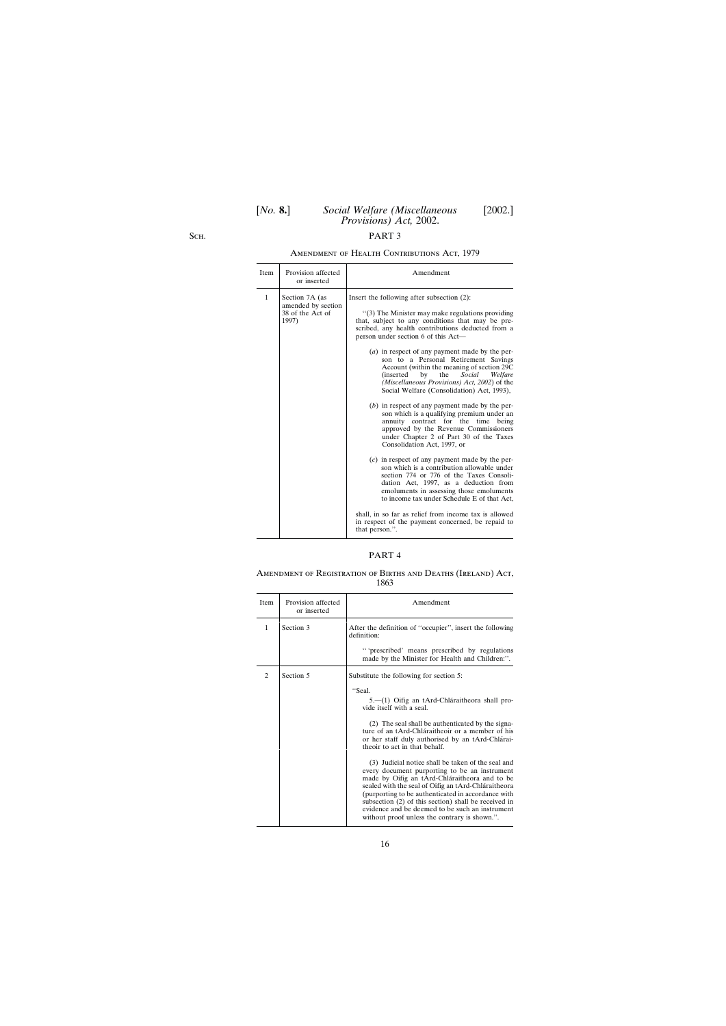S<sub>CH</sub>.

## Amendment of Health Contributions Act, 1979

| Provision affected<br>Item<br>or inserted                                         | Amendment                                                                                                                                                                                                                                                                                                                                                                                                                                                                                                                                                                                                                                                                                                                                                                                                                                                                                                                                                                                                                                                                                                                                                                                                                      |
|-----------------------------------------------------------------------------------|--------------------------------------------------------------------------------------------------------------------------------------------------------------------------------------------------------------------------------------------------------------------------------------------------------------------------------------------------------------------------------------------------------------------------------------------------------------------------------------------------------------------------------------------------------------------------------------------------------------------------------------------------------------------------------------------------------------------------------------------------------------------------------------------------------------------------------------------------------------------------------------------------------------------------------------------------------------------------------------------------------------------------------------------------------------------------------------------------------------------------------------------------------------------------------------------------------------------------------|
| $\mathbf{1}$<br>Section 7A (as<br>amended by section<br>38 of the Act of<br>1997) | Insert the following after subsection (2):<br>"(3) The Minister may make regulations providing<br>that, subject to any conditions that may be pre-<br>scribed, any health contributions deducted from a<br>person under section 6 of this Act—<br>(a) in respect of any payment made by the per-<br>son to a Personal Retirement Savings<br>Account (within the meaning of section 29C)<br><i>(inserted)</i><br>the<br>Social<br>by<br>Welfare<br>(Miscellaneous Provisions) Act, 2002) of the<br>Social Welfare (Consolidation) Act, 1993).<br>$(b)$ in respect of any payment made by the per-<br>son which is a qualifying premium under an<br>annuity contract for the time<br>being<br>approved by the Revenue Commissioners<br>under Chapter 2 of Part 30 of the Taxes<br>Consolidation Act, 1997, or<br>$(c)$ in respect of any payment made by the per-<br>son which is a contribution allowable under<br>section 774 or 776 of the Taxes Consoli-<br>dation Act, 1997, as a deduction from<br>emoluments in assessing those emoluments<br>to income tax under Schedule E of that Act,<br>shall, in so far as relief from income tax is allowed<br>in respect of the payment concerned, be repaid to<br>that person.". |

## PART 4

Amendment of Registration of Births and Deaths (Ireland) Act, 1863

| Item         | Provision affected<br>or inserted | Amendment                                                                                                                                                                                                                                                                                                                                                                                                                                                                                        |
|--------------|-----------------------------------|--------------------------------------------------------------------------------------------------------------------------------------------------------------------------------------------------------------------------------------------------------------------------------------------------------------------------------------------------------------------------------------------------------------------------------------------------------------------------------------------------|
| $\mathbf{1}$ | Section 3                         | After the definition of "occupier", insert the following<br>definition:                                                                                                                                                                                                                                                                                                                                                                                                                          |
|              |                                   | "'prescribed' means prescribed by regulations<br>made by the Minister for Health and Children:".                                                                                                                                                                                                                                                                                                                                                                                                 |
| 2            | Section 5                         | Substitute the following for section 5:                                                                                                                                                                                                                                                                                                                                                                                                                                                          |
|              |                                   | "Seal.<br>5.—(1) Oifig an tArd-Chláraitheora shall pro-<br>vide itself with a seal.<br>(2) The seal shall be authenticated by the signa-<br>ture of an tArd-Chláraitheoir or a member of his<br>or her staff duly authorised by an tArd-Chlárai-<br>theoir to act in that behalf.<br>(3) Judicial notice shall be taken of the seal and<br>every document purporting to be an instrument<br>made by Oifig an tArd-Chláraitheora and to be<br>sealed with the seal of Oifig an tArd-Chláraitheora |
|              |                                   | (purporting to be authenticated in accordance with<br>subsection (2) of this section) shall be received in<br>evidence and be deemed to be such an instrument<br>without proof unless the contrary is shown.".                                                                                                                                                                                                                                                                                   |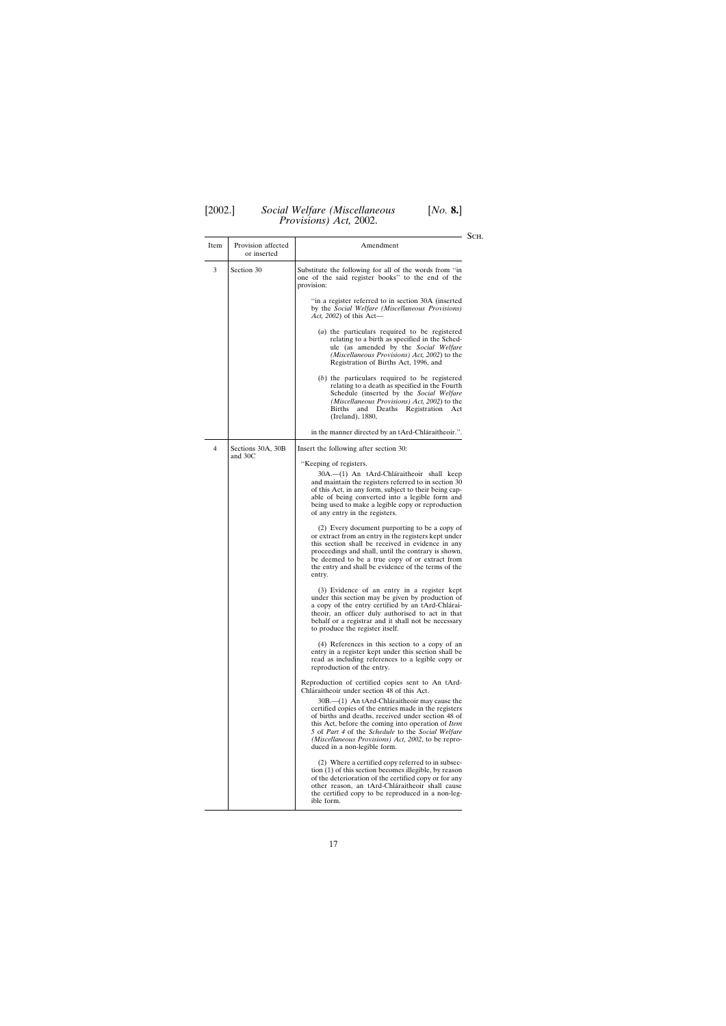| Item | Provision affected<br>or inserted | Amendment                                                                                                                                                                                                                                                                                                                                                                                       |
|------|-----------------------------------|-------------------------------------------------------------------------------------------------------------------------------------------------------------------------------------------------------------------------------------------------------------------------------------------------------------------------------------------------------------------------------------------------|
| 3    | Section 30                        | Substitute the following for all of the words from "in<br>one of the said register books" to the end of the<br>provision:                                                                                                                                                                                                                                                                       |
|      |                                   | "in a register referred to in section 30A (inserted)<br>by the Social Welfare (Miscellaneous Provisions)<br><i>Act</i> , 2002) of this Act—                                                                                                                                                                                                                                                     |
|      |                                   | $(a)$ the particulars required to be registered<br>relating to a birth as specified in the Sched-<br>ule (as amended by the Social Welfare<br><i>(Miscellaneous Provisions) Act, 2002)</i> to the<br>Registration of Births Act, 1996, and                                                                                                                                                      |
|      |                                   | $(b)$ the particulars required to be registered<br>relating to a death as specified in the Fourth<br>Schedule (inserted by the Social Welfare<br>( <i>Miscellaneous Provisions</i> ) Act, 2002) to the<br>Registration<br>Births<br>and<br>Deaths<br>Act<br>(Ireland), 1880,                                                                                                                    |
|      |                                   | in the manner directed by an tArd-Chláraitheoir.".                                                                                                                                                                                                                                                                                                                                              |
| 4    | Sections 30A, 30B<br>and $30C$    | Insert the following after section 30:                                                                                                                                                                                                                                                                                                                                                          |
|      |                                   | "Keeping of registers.<br>30A.—(1) An tArd-Chláraitheoir shall keep<br>and maintain the registers referred to in section 30<br>of this Act, in any form, subject to their being cap-<br>able of being converted into a legible form and<br>being used to make a legible copy or reproduction<br>of any entry in the registers.                                                                  |
|      |                                   | (2) Every document purporting to be a copy of<br>or extract from an entry in the registers kept under<br>this section shall be received in evidence in any<br>proceedings and shall, until the contrary is shown,<br>be deemed to be a true copy of or extract from<br>the entry and shall be evidence of the terms of the<br>entry.                                                            |
|      |                                   | (3) Evidence of an entry in a register kept<br>under this section may be given by production of<br>a copy of the entry certified by an tArd-Chlárai-<br>theoir, an officer duly authorised to act in that<br>behalf or a registrar and it shall not be necessary<br>to produce the register itself.                                                                                             |
|      |                                   | (4) References in this section to a copy of an<br>entry in a register kept under this section shall be<br>read as including references to a legible copy or<br>reproduction of the entry.                                                                                                                                                                                                       |
|      |                                   | Reproduction of certified copies sent to An tArd-<br>Chláraitheoir under section 48 of this Act.                                                                                                                                                                                                                                                                                                |
|      |                                   | 30B.—(1) An tArd-Chláraitheoir may cause the<br>certified copies of the entries made in the registers<br>of births and deaths, received under section 48 of<br>this Act, before the coming into operation of <i>Item</i><br>5 of <i>Part 4</i> of the <i>Schedule</i> to the <i>Social Welfare</i><br><i>(Miscellaneous Provisions) Act, 2002, to be repro-</i><br>duced in a non-legible form. |
|      |                                   | (2) Where a certified copy referred to in subsec-<br>tion (1) of this section becomes illegible, by reason<br>of the deterioration of the certified copy or for any<br>other reason, an tArd-Chláraitheoir shall cause<br>the certified copy to be reproduced in a non-leg-<br>ible form.                                                                                                       |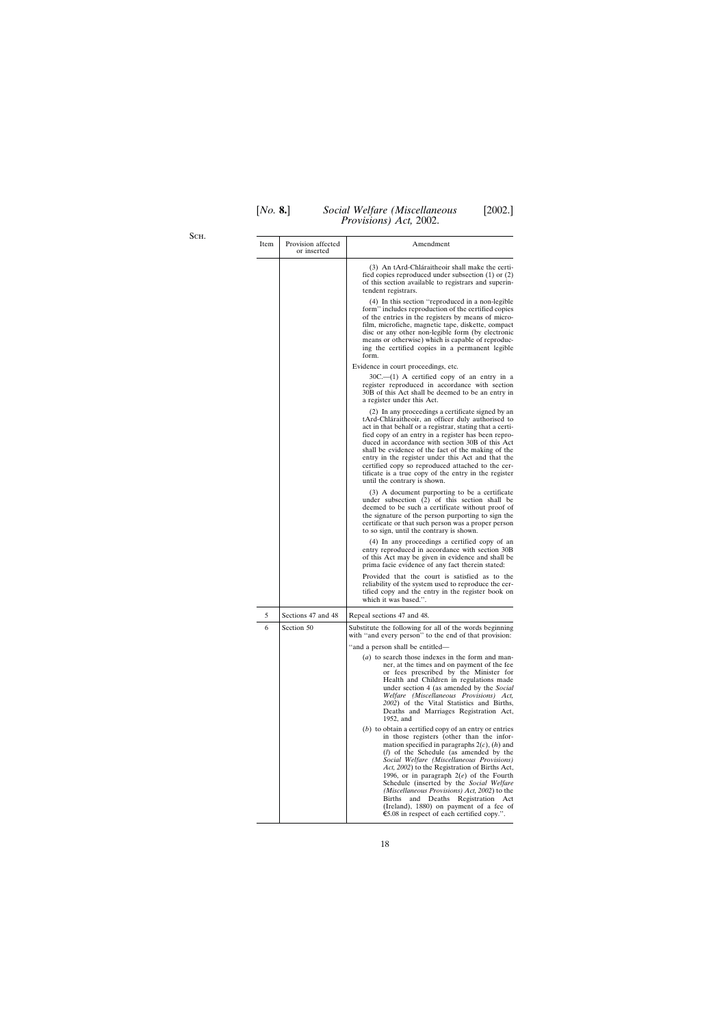Sch.

| <b>Item</b> | Provision affected<br>or inserted | Amendment                                                                                                                                                                                                                                                                                                                                                                                                                                                                                                                                                                             |
|-------------|-----------------------------------|---------------------------------------------------------------------------------------------------------------------------------------------------------------------------------------------------------------------------------------------------------------------------------------------------------------------------------------------------------------------------------------------------------------------------------------------------------------------------------------------------------------------------------------------------------------------------------------|
|             |                                   | (3) An tArd-Chláraitheoir shall make the certi-<br>fied copies reproduced under subsection $(1)$ or $(2)$<br>of this section available to registrars and superin-<br>tendent registrars.                                                                                                                                                                                                                                                                                                                                                                                              |
|             |                                   | (4) In this section "reproduced in a non-legible<br>form" includes reproduction of the certified copies<br>of the entries in the registers by means of micro-<br>film, microfiche, magnetic tape, diskette, compact<br>disc or any other non-legible form (by electronic<br>means or otherwise) which is capable of reproduc-<br>ing the certified copies in a permanent legible<br>form.                                                                                                                                                                                             |
|             |                                   | Evidence in court proceedings, etc.                                                                                                                                                                                                                                                                                                                                                                                                                                                                                                                                                   |
|             |                                   | $30C - (1)$ A certified copy of an entry in a<br>register reproduced in accordance with section<br>30B of this Act shall be deemed to be an entry in<br>a register under this Act.                                                                                                                                                                                                                                                                                                                                                                                                    |
|             |                                   | (2) In any proceedings a certificate signed by an<br>tArd-Chláraitheoir, an officer duly authorised to<br>act in that behalf or a registrar, stating that a certi-<br>fied copy of an entry in a register has been repro-<br>duced in accordance with section 30B of this Act<br>shall be evidence of the fact of the making of the<br>entry in the register under this Act and that the<br>certified copy so reproduced attached to the cer-<br>tificate is a true copy of the entry in the register<br>until the contrary is shown.                                                 |
|             |                                   | (3) A document purporting to be a certificate<br>under subsection (2) of this section shall be<br>deemed to be such a certificate without proof of<br>the signature of the person purporting to sign the<br>certificate or that such person was a proper person<br>to so sign, until the contrary is shown.                                                                                                                                                                                                                                                                           |
|             |                                   | (4) In any proceedings a certified copy of an<br>entry reproduced in accordance with section 30B<br>of this Act may be given in evidence and shall be<br>prima facie evidence of any fact therein stated:                                                                                                                                                                                                                                                                                                                                                                             |
|             |                                   | Provided that the court is satisfied as to the<br>reliability of the system used to reproduce the cer-<br>tified copy and the entry in the register book on<br>which it was based.".                                                                                                                                                                                                                                                                                                                                                                                                  |
| 5           | Sections 47 and 48                | Repeal sections 47 and 48.                                                                                                                                                                                                                                                                                                                                                                                                                                                                                                                                                            |
| 6           | Section 50                        | Substitute the following for all of the words beginning<br>with "and every person" to the end of that provision:                                                                                                                                                                                                                                                                                                                                                                                                                                                                      |
|             |                                   | "and a person shall be entitled-                                                                                                                                                                                                                                                                                                                                                                                                                                                                                                                                                      |
|             |                                   | (a) to search those indexes in the form and man-<br>ner, at the times and on payment of the fee<br>or fees prescribed by the Minister for<br>Health and Children in regulations made<br>under section 4 (as amended by the Social<br>Welfare (Miscellaneous Provisions) Act,<br>2002) of the Vital Statistics and Births,<br>Deaths and Marriages Registration Act,<br>1952, and                                                                                                                                                                                                      |
|             |                                   | $(b)$ to obtain a certified copy of an entry or entries<br>in those registers (other than the infor-<br>mation specified in paragraphs $2(c)$ , $(h)$ and<br>$(l)$ of the Schedule (as amended by the<br>Social Welfare (Miscellaneous Provisions)<br>Act, 2002) to the Registration of Births Act,<br>1996, or in paragraph $2(e)$ of the Fourth<br>Schedule (inserted by the Social Welfare<br>(Miscellaneous Provisions) Act, 2002) to the<br>Births<br>Deaths Registration<br>and<br>Act<br>(Ireland), 1880) on payment of a fee of<br>€5.08 in respect of each certified copy.". |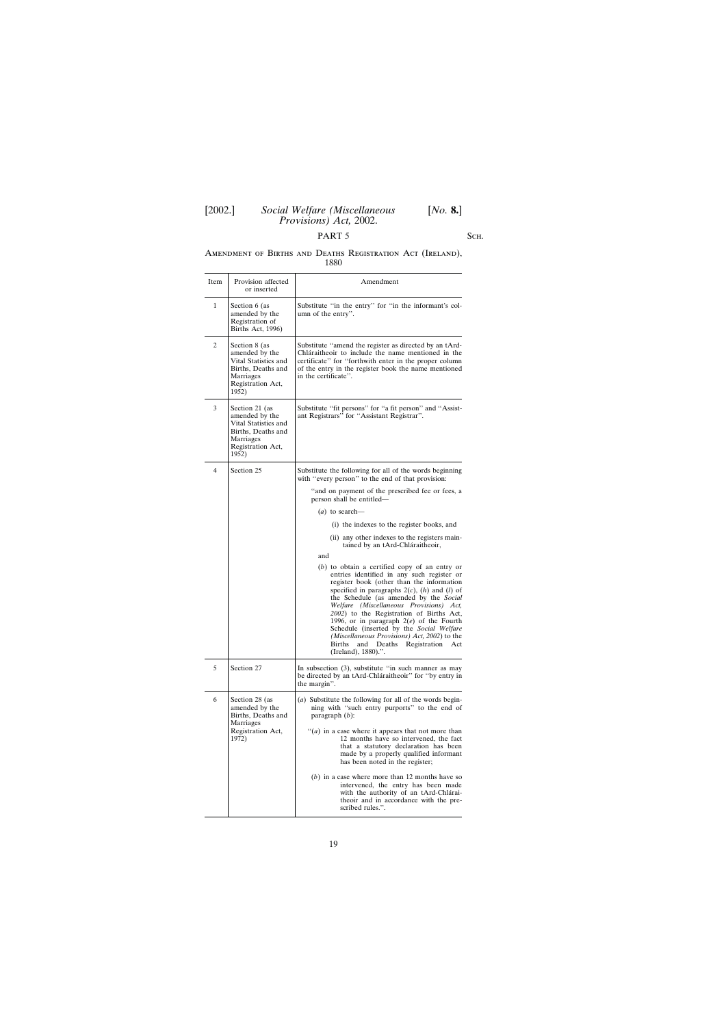# PART 5 SCH.

## Amendment of Births and Deaths Registration Act (Ireland), 1880

| Section 6 (as<br>amended by the<br>Registration of<br>Births Act, 1996)                                                   | Substitute "in the entry" for "in the informant's col-<br>umn of the entry".                                                                                                                                                                                                                                                                                                                                                                                                                                                                              |
|---------------------------------------------------------------------------------------------------------------------------|-----------------------------------------------------------------------------------------------------------------------------------------------------------------------------------------------------------------------------------------------------------------------------------------------------------------------------------------------------------------------------------------------------------------------------------------------------------------------------------------------------------------------------------------------------------|
| Section 8 (as<br>amended by the<br>Vital Statistics and<br>Births, Deaths and<br>Marriages<br>Registration Act,<br>1952)  | Substitute "amend the register as directed by an tArd-<br>Chláraitheoir to include the name mentioned in the<br>certificate" for "forthwith enter in the proper column<br>of the entry in the register book the name mentioned<br>in the certificate".                                                                                                                                                                                                                                                                                                    |
| Section 21 (as<br>amended by the<br>Vital Statistics and<br>Births, Deaths and<br>Marriages<br>Registration Act,<br>1952) | Substitute "fit persons" for "a fit person" and "Assist-<br>ant Registrars" for "Assistant Registrar".                                                                                                                                                                                                                                                                                                                                                                                                                                                    |
| Section 25                                                                                                                | Substitute the following for all of the words beginning<br>with "every person" to the end of that provision:                                                                                                                                                                                                                                                                                                                                                                                                                                              |
|                                                                                                                           | "and on payment of the prescribed fee or fees, a<br>person shall be entitled—                                                                                                                                                                                                                                                                                                                                                                                                                                                                             |
|                                                                                                                           | $(a)$ to search—                                                                                                                                                                                                                                                                                                                                                                                                                                                                                                                                          |
|                                                                                                                           | (i) the indexes to the register books, and                                                                                                                                                                                                                                                                                                                                                                                                                                                                                                                |
|                                                                                                                           | (ii) any other indexes to the registers main-<br>tained by an tArd-Chláraitheoir,                                                                                                                                                                                                                                                                                                                                                                                                                                                                         |
|                                                                                                                           | and<br>$(b)$ to obtain a certified copy of an entry or<br>entries identified in any such register or<br>register book (other than the information<br>specified in paragraphs $2(c)$ , $(h)$ and $(l)$ of<br>the Schedule (as amended by the Social<br>Welfare (Miscellaneous Provisions) Act,<br>2002) to the Registration of Births Act,<br>1996, or in paragraph $2(e)$ of the Fourth<br>Schedule (inserted by the Social Welfare<br>(Miscellaneous Provisions) Act, 2002) to the<br>Births<br>and<br>Deaths Registration<br>Act<br>(Ireland), 1880).". |
| Section 27                                                                                                                | In subsection (3), substitute "in such manner as may<br>be directed by an tArd-Chláraitheoir" for "by entry in<br>the margin".                                                                                                                                                                                                                                                                                                                                                                                                                            |
| Section 28 (as<br>amended by the<br>Births, Deaths and<br>Marriages<br>Registration Act,<br>1972)                         | (a) Substitute the following for all of the words begin-<br>ning with "such entry purports" to the end of<br>paragraph $(b)$ :<br>"( <i>a</i> ) in a case where it appears that not more than<br>12 months have so intervened, the fact<br>that a statutory declaration has been<br>made by a properly qualified informant<br>has been noted in the register;<br>$(b)$ in a case where more than 12 months have so<br>intervened, the entry has been made<br>with the authority of an tArd-Chlárai-<br>theoir and in accordance with the pre-             |
|                                                                                                                           |                                                                                                                                                                                                                                                                                                                                                                                                                                                                                                                                                           |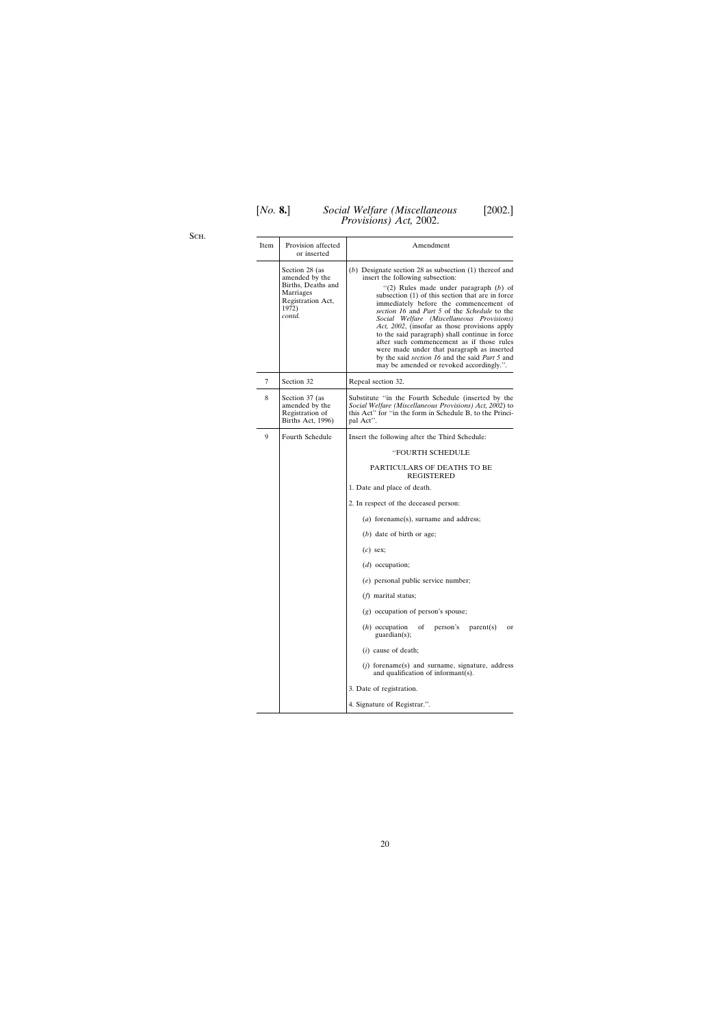Sch.

| Item | Provision affected<br>or inserted                                                                           | Amendment                                                                                                                                                                                                                                                                                                                                                                                                                                                                                                                                                                                                                                       |
|------|-------------------------------------------------------------------------------------------------------------|-------------------------------------------------------------------------------------------------------------------------------------------------------------------------------------------------------------------------------------------------------------------------------------------------------------------------------------------------------------------------------------------------------------------------------------------------------------------------------------------------------------------------------------------------------------------------------------------------------------------------------------------------|
|      | Section 28 (as<br>amended by the<br>Births, Deaths and<br>Marriages<br>Registration Act,<br>1972)<br>contd. | $(b)$ Designate section 28 as subsection $(1)$ thereof and<br>insert the following subsection:<br>"(2) Rules made under paragraph $(b)$ of<br>subsection (1) of this section that are in force<br>immediately before the commencement of<br>section 16 and Part 5 of the Schedule to the<br>Social Welfare (Miscellaneous Provisions)<br>Act, 2002, (insofar as those provisions apply<br>to the said paragraph) shall continue in force<br>after such commencement as if those rules<br>were made under that paragraph as inserted<br>by the said <i>section 16</i> and the said <i>Part 5</i> and<br>may be amended or revoked accordingly.". |
| 7    | Section 32                                                                                                  | Repeal section 32.                                                                                                                                                                                                                                                                                                                                                                                                                                                                                                                                                                                                                              |
| 8    | Section 37 (as<br>amended by the<br>Registration of<br>Births Act, 1996)                                    | Substitute "in the Fourth Schedule (inserted by the<br>Social Welfare (Miscellaneous Provisions) Act, 2002) to<br>this Act" for "in the form in Schedule B, to the Princi-<br>pal Act".                                                                                                                                                                                                                                                                                                                                                                                                                                                         |
| 9    | Fourth Schedule                                                                                             | Insert the following after the Third Schedule:                                                                                                                                                                                                                                                                                                                                                                                                                                                                                                                                                                                                  |
|      |                                                                                                             | <b>"FOURTH SCHEDULE</b>                                                                                                                                                                                                                                                                                                                                                                                                                                                                                                                                                                                                                         |
|      |                                                                                                             | PARTICULARS OF DEATHS TO BE<br><b>REGISTERED</b>                                                                                                                                                                                                                                                                                                                                                                                                                                                                                                                                                                                                |
|      |                                                                                                             | 1. Date and place of death.                                                                                                                                                                                                                                                                                                                                                                                                                                                                                                                                                                                                                     |
|      |                                                                                                             | 2. In respect of the deceased person:                                                                                                                                                                                                                                                                                                                                                                                                                                                                                                                                                                                                           |
|      |                                                                                                             | $(a)$ forename $(s)$ , surname and address;                                                                                                                                                                                                                                                                                                                                                                                                                                                                                                                                                                                                     |
|      |                                                                                                             | $(b)$ date of birth or age;                                                                                                                                                                                                                                                                                                                                                                                                                                                                                                                                                                                                                     |
|      |                                                                                                             | $(c)$ sex;                                                                                                                                                                                                                                                                                                                                                                                                                                                                                                                                                                                                                                      |
|      |                                                                                                             | $(d)$ occupation;                                                                                                                                                                                                                                                                                                                                                                                                                                                                                                                                                                                                                               |
|      |                                                                                                             | $(e)$ personal public service number;                                                                                                                                                                                                                                                                                                                                                                                                                                                                                                                                                                                                           |
|      |                                                                                                             | $(f)$ marital status;                                                                                                                                                                                                                                                                                                                                                                                                                                                                                                                                                                                                                           |
|      |                                                                                                             | $(g)$ occupation of person's spouse;                                                                                                                                                                                                                                                                                                                                                                                                                                                                                                                                                                                                            |
|      |                                                                                                             | $(h)$ occupation<br>person's<br>οf<br>parent(s)<br>or<br>$\text{quardian}(s)$ ;                                                                                                                                                                                                                                                                                                                                                                                                                                                                                                                                                                 |
|      |                                                                                                             | $(i)$ cause of death;                                                                                                                                                                                                                                                                                                                                                                                                                                                                                                                                                                                                                           |
|      |                                                                                                             | $(i)$ forename(s) and surname, signature, address<br>and qualification of informant(s).                                                                                                                                                                                                                                                                                                                                                                                                                                                                                                                                                         |
|      |                                                                                                             | 3. Date of registration.                                                                                                                                                                                                                                                                                                                                                                                                                                                                                                                                                                                                                        |
|      |                                                                                                             | 4. Signature of Registrar.".                                                                                                                                                                                                                                                                                                                                                                                                                                                                                                                                                                                                                    |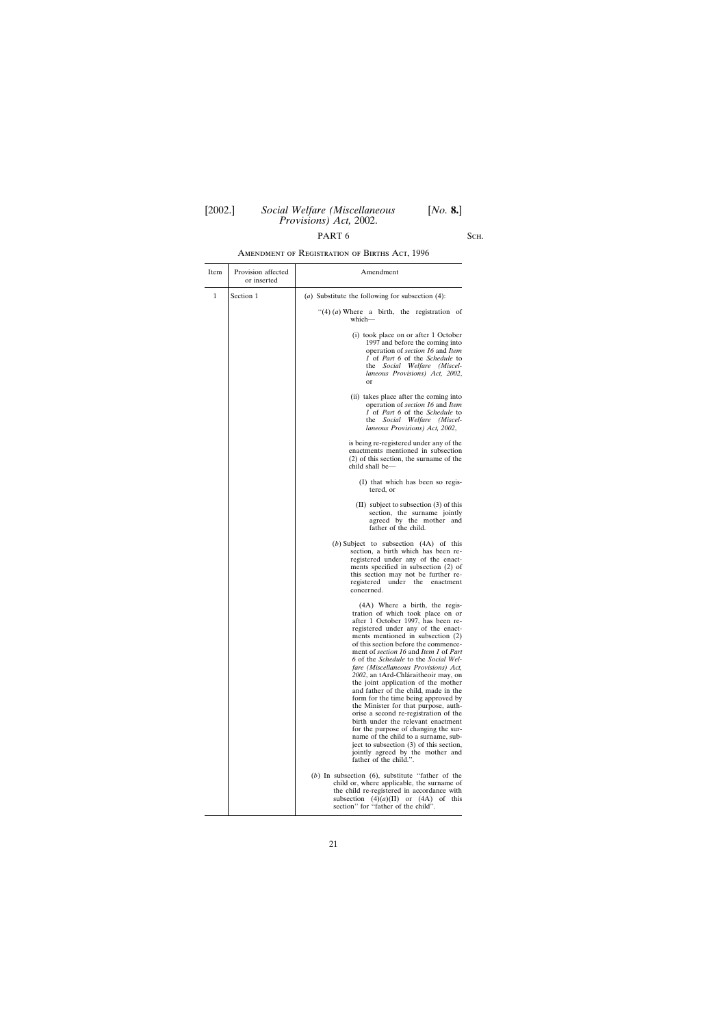# PART 6 SCH.

# Amendment of Registration of Births Act, 1996

| Item | Provision affected<br>or inserted | Amendment                                                                                                                                                                                                                                                                                                                                                                                                                                                                                                                                                                                                                                                                                                                                                                                                                          |
|------|-----------------------------------|------------------------------------------------------------------------------------------------------------------------------------------------------------------------------------------------------------------------------------------------------------------------------------------------------------------------------------------------------------------------------------------------------------------------------------------------------------------------------------------------------------------------------------------------------------------------------------------------------------------------------------------------------------------------------------------------------------------------------------------------------------------------------------------------------------------------------------|
| 1    | Section 1                         | (a) Substitute the following for subsection $(4)$ :                                                                                                                                                                                                                                                                                                                                                                                                                                                                                                                                                                                                                                                                                                                                                                                |
|      |                                   | "(4) $(a)$ Where a birth, the registration of<br>which-                                                                                                                                                                                                                                                                                                                                                                                                                                                                                                                                                                                                                                                                                                                                                                            |
|      |                                   | (i) took place on or after 1 October<br>1997 and before the coming into<br>operation of section 16 and Item<br>1 of Part 6 of the Schedule to<br>the Social Welfare (Miscel-<br>laneous Provisions) Act, 2002,<br>or                                                                                                                                                                                                                                                                                                                                                                                                                                                                                                                                                                                                               |
|      |                                   | (ii) takes place after the coming into<br>operation of section 16 and Item<br>1 of Part 6 of the Schedule to<br>the Social Welfare (Miscel-<br>laneous Provisions) Act, 2002,                                                                                                                                                                                                                                                                                                                                                                                                                                                                                                                                                                                                                                                      |
|      |                                   | is being re-registered under any of the<br>enactments mentioned in subsection<br>$(2)$ of this section, the surname of the<br>child shall be-                                                                                                                                                                                                                                                                                                                                                                                                                                                                                                                                                                                                                                                                                      |
|      |                                   | (I) that which has been so regis-<br>tered, or                                                                                                                                                                                                                                                                                                                                                                                                                                                                                                                                                                                                                                                                                                                                                                                     |
|      |                                   | $(II)$ subject to subsection $(3)$ of this<br>section, the surname jointly<br>agreed by the mother and<br>father of the child.                                                                                                                                                                                                                                                                                                                                                                                                                                                                                                                                                                                                                                                                                                     |
|      |                                   | (b) Subject to subsection $(4A)$ of this<br>section, a birth which has been re-<br>registered under any of the enact-<br>ments specified in subsection (2) of<br>this section may not be further re-<br>registered under the<br>enactment<br>concerned.                                                                                                                                                                                                                                                                                                                                                                                                                                                                                                                                                                            |
|      |                                   | (4A) Where a birth, the regis-<br>tration of which took place on or<br>after 1 October 1997, has been re-<br>registered under any of the enact-<br>ments mentioned in subsection (2)<br>of this section before the commence-<br>ment of section 16 and Item 1 of Part<br>6 of the Schedule to the Social Wel-<br>fare (Miscellaneous Provisions) Act,<br>2002, an tArd-Chláraitheoir may, on<br>the joint application of the mother<br>and father of the child, made in the<br>form for the time being approved by<br>the Minister for that purpose, auth-<br>orise a second re-registration of the<br>birth under the relevant enactment<br>for the purpose of changing the sur-<br>name of the child to a surname, sub-<br>ject to subsection (3) of this section,<br>jointly agreed by the mother and<br>father of the child.". |
|      |                                   | $(b)$ In subsection $(6)$ , substitute "father of the<br>child or, where applicable, the surname of<br>the child re-registered in accordance with<br>subsection $(4)(a)(II)$ or $(4A)$ of this<br>section" for "father of the child".                                                                                                                                                                                                                                                                                                                                                                                                                                                                                                                                                                                              |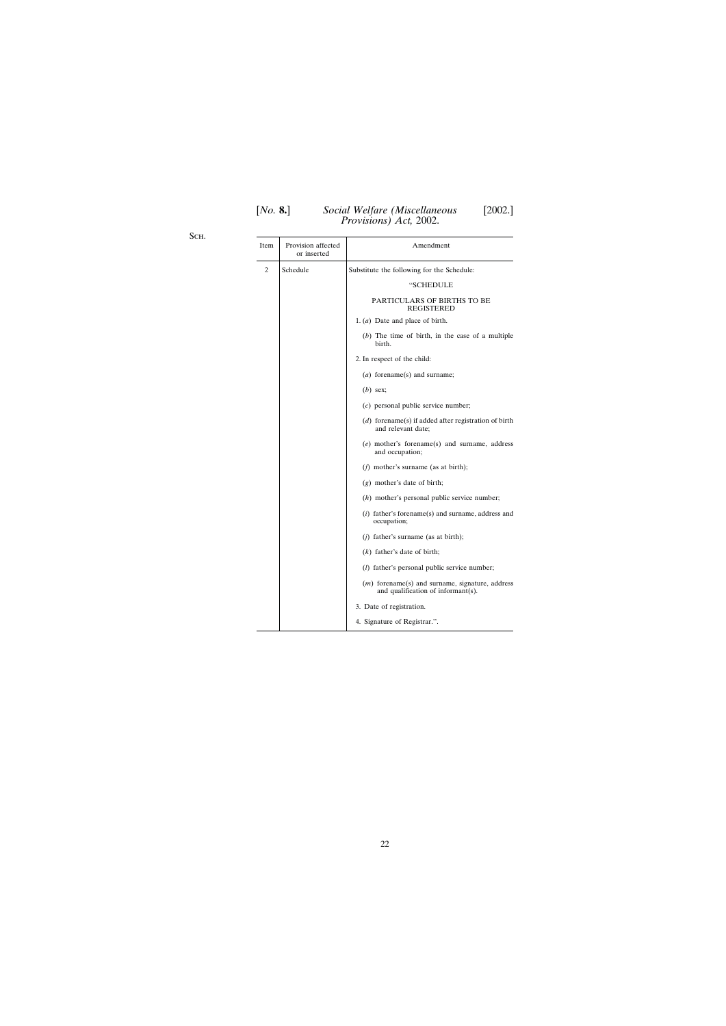Sch.

| Item | Provision affected<br>or inserted | Amendment                                                                               |
|------|-----------------------------------|-----------------------------------------------------------------------------------------|
| 2    | Schedule                          | Substitute the following for the Schedule:                                              |
|      |                                   | "SCHEDULE                                                                               |
|      |                                   | PARTICULARS OF BIRTHS TO BE<br><b>REGISTERED</b>                                        |
|      |                                   | 1. $(a)$ Date and place of birth.                                                       |
|      |                                   | $(b)$ The time of birth, in the case of a multiple<br>birth.                            |
|      |                                   | 2. In respect of the child:                                                             |
|      |                                   | $(a)$ forename(s) and surname;                                                          |
|      |                                   | $(b)$ sex;                                                                              |
|      |                                   | $(c)$ personal public service number;                                                   |
|      |                                   | $(d)$ forename(s) if added after registration of birth<br>and relevant date;            |
|      |                                   | $(e)$ mother's forename(s) and surname, address<br>and occupation;                      |
|      |                                   | $(f)$ mother's surname (as at birth);                                                   |
|      |                                   | (g) mother's date of birth;                                                             |
|      |                                   | $(h)$ mother's personal public service number;                                          |
|      |                                   | $(i)$ father's forename(s) and surname, address and<br>occupation;                      |
|      |                                   | $(i)$ father's surname (as at birth);                                                   |
|      |                                   | $(k)$ father's date of birth;                                                           |
|      |                                   | ( <i>l</i> ) father's personal public service number;                                   |
|      |                                   | $(m)$ forename(s) and surname, signature, address<br>and qualification of informant(s). |
|      |                                   | 3. Date of registration.                                                                |
|      |                                   | 4. Signature of Registrar.".                                                            |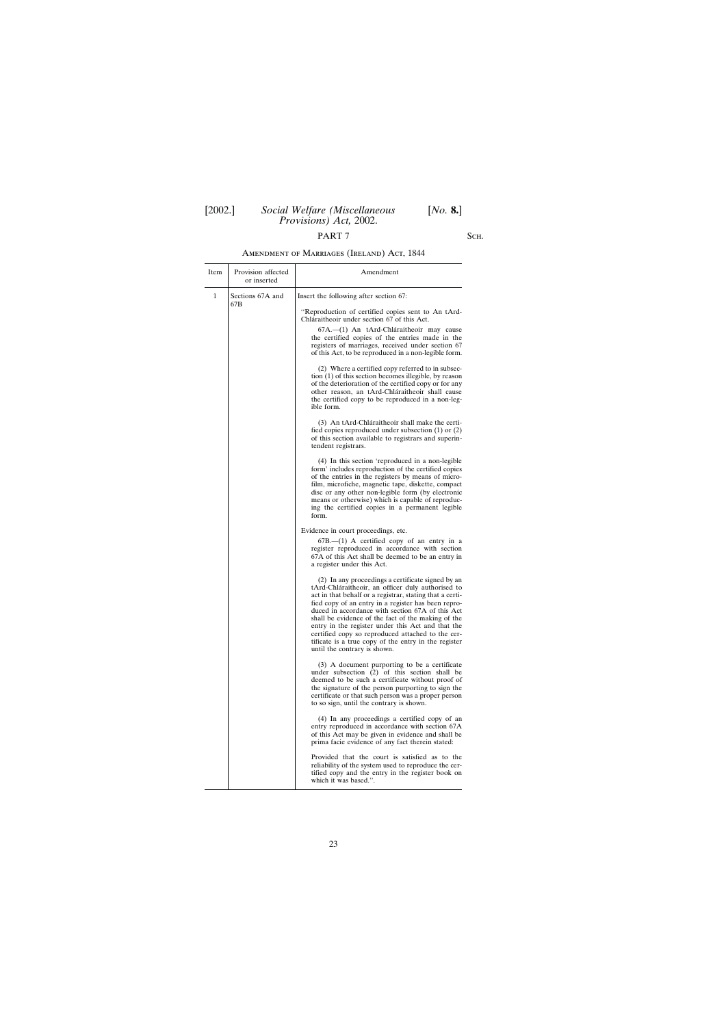# PART 7 SCH.

# Amendment of Marriages (Ireland) Act, 1844

| Item | Provision affected<br>or inserted | Amendment                                                                                                                                                                                                                                                                                                                                                                                                                                                                                                                             |
|------|-----------------------------------|---------------------------------------------------------------------------------------------------------------------------------------------------------------------------------------------------------------------------------------------------------------------------------------------------------------------------------------------------------------------------------------------------------------------------------------------------------------------------------------------------------------------------------------|
| 1    | Sections 67A and<br>67B           | Insert the following after section 67:                                                                                                                                                                                                                                                                                                                                                                                                                                                                                                |
|      |                                   | "Reproduction of certified copies sent to An tArd-<br>Chláraitheoir under section 67 of this Act.                                                                                                                                                                                                                                                                                                                                                                                                                                     |
|      |                                   | 67A.—(1) An tArd-Chláraitheoir may cause<br>the certified copies of the entries made in the<br>registers of marriages, received under section 67<br>of this Act, to be reproduced in a non-legible form.                                                                                                                                                                                                                                                                                                                              |
|      |                                   | (2) Where a certified copy referred to in subsec-<br>tion (1) of this section becomes illegible, by reason<br>of the deterioration of the certified copy or for any<br>other reason, an tArd-Chláraitheoir shall cause<br>the certified copy to be reproduced in a non-leg-<br>ible form.                                                                                                                                                                                                                                             |
|      |                                   | (3) An tArd-Chláraitheoir shall make the certi-<br>fied copies reproduced under subsection $(1)$ or $(2)$<br>of this section available to registrars and superin-<br>tendent registrars.                                                                                                                                                                                                                                                                                                                                              |
|      |                                   | (4) In this section 'reproduced in a non-legible<br>form' includes reproduction of the certified copies<br>of the entries in the registers by means of micro-<br>film, microfiche, magnetic tape, diskette, compact<br>disc or any other non-legible form (by electronic<br>means or otherwise) which is capable of reproduc-<br>ing the certified copies in a permanent legible<br>form.                                                                                                                                             |
|      |                                   | Evidence in court proceedings, etc.                                                                                                                                                                                                                                                                                                                                                                                                                                                                                                   |
|      |                                   | $67B$ , $-(1)$ A certified copy of an entry in a<br>register reproduced in accordance with section<br>67A of this Act shall be deemed to be an entry in<br>a register under this Act.                                                                                                                                                                                                                                                                                                                                                 |
|      |                                   | (2) In any proceedings a certificate signed by an<br>tArd-Chláraitheoir, an officer duly authorised to<br>act in that behalf or a registrar, stating that a certi-<br>fied copy of an entry in a register has been repro-<br>duced in accordance with section 67A of this Act<br>shall be evidence of the fact of the making of the<br>entry in the register under this Act and that the<br>certified copy so reproduced attached to the cer-<br>tificate is a true copy of the entry in the register<br>until the contrary is shown. |
|      |                                   | (3) A document purporting to be a certificate<br>under subsection (2) of this section shall be<br>deemed to be such a certificate without proof of<br>the signature of the person purporting to sign the<br>certificate or that such person was a proper person<br>to so sign, until the contrary is shown.                                                                                                                                                                                                                           |
|      |                                   | (4) In any proceedings a certified copy of an<br>entry reproduced in accordance with section 67A<br>of this Act may be given in evidence and shall be<br>prima facie evidence of any fact therein stated:                                                                                                                                                                                                                                                                                                                             |
|      |                                   | Provided that the court is satisfied as to the<br>reliability of the system used to reproduce the cer-<br>tified copy and the entry in the register book on<br>which it was based.".                                                                                                                                                                                                                                                                                                                                                  |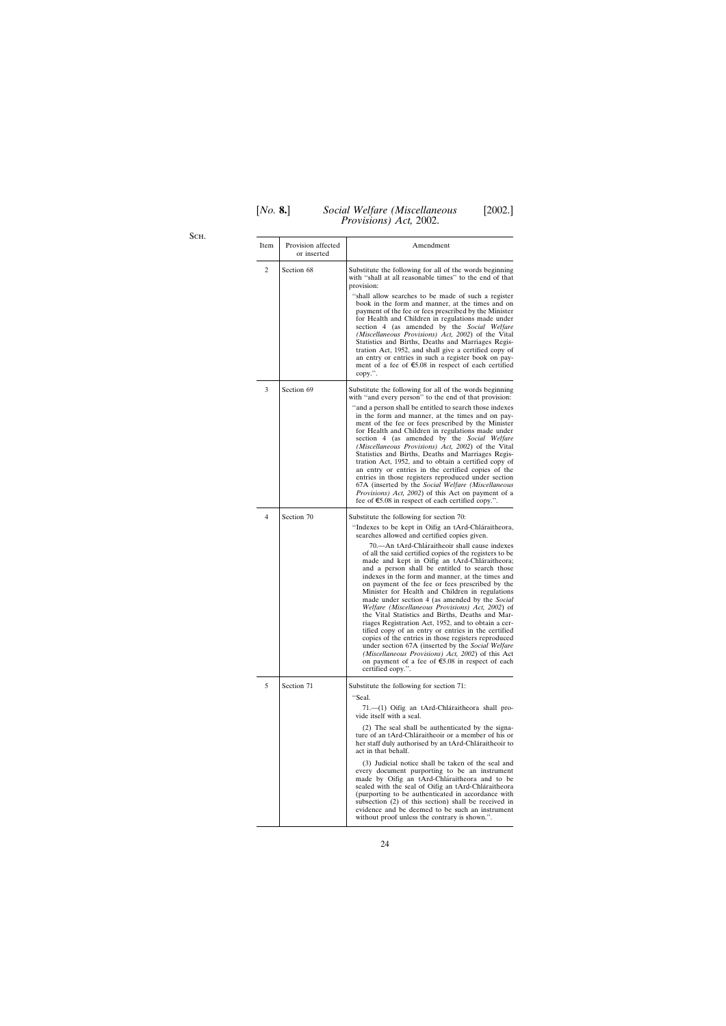Sch.

| Item | Provision affected<br>or inserted | Amendment                                                                                                                                                                                                                                                                                                                                                                                                                                                                                                                                                                                                                                                                                                                                                                                                                                                                                                                                                                                                                                          |
|------|-----------------------------------|----------------------------------------------------------------------------------------------------------------------------------------------------------------------------------------------------------------------------------------------------------------------------------------------------------------------------------------------------------------------------------------------------------------------------------------------------------------------------------------------------------------------------------------------------------------------------------------------------------------------------------------------------------------------------------------------------------------------------------------------------------------------------------------------------------------------------------------------------------------------------------------------------------------------------------------------------------------------------------------------------------------------------------------------------|
| 2    | Section 68                        | Substitute the following for all of the words beginning<br>with "shall at all reasonable times" to the end of that<br>provision:<br>"shall allow searches to be made of such a register<br>book in the form and manner, at the times and on<br>payment of the fee or fees prescribed by the Minister<br>for Health and Children in regulations made under<br>section 4 (as amended by the Social Welfare<br>(Miscellaneous Provisions) Act, 2002) of the Vital<br>Statistics and Births, Deaths and Marriages Regis-<br>tration Act, 1952, and shall give a certified copy of<br>an entry or entries in such a register book on pay-<br>ment of a fee of $65.08$ in respect of each certified<br>$copy.$ ".                                                                                                                                                                                                                                                                                                                                        |
| 3    | Section 69                        | Substitute the following for all of the words beginning<br>with "and every person" to the end of that provision:<br>"and a person shall be entitled to search those indexes<br>in the form and manner, at the times and on pay-<br>ment of the fee or fees prescribed by the Minister<br>for Health and Children in regulations made under<br>section 4 (as amended by the Social Welfare<br>(Miscellaneous Provisions) Act, 2002) of the Vital<br>Statistics and Births, Deaths and Marriages Regis-<br>tration Act, 1952, and to obtain a certified copy of<br>an entry or entries in the certified copies of the<br>entries in those registers reproduced under section<br>67A (inserted by the Social Welfare (Miscellaneous<br><i>Provisions</i> ) <i>Act</i> , 2002) of this Act on payment of a<br>fee of $\epsilon$ 5.08 in respect of each certified copy.".                                                                                                                                                                              |
| 4    | Section 70                        | Substitute the following for section 70:<br>"Indexes to be kept in Oifig an tArd-Chláraitheora,<br>searches allowed and certified copies given.<br>70.—An tArd-Chláraitheoir shall cause indexes<br>of all the said certified copies of the registers to be<br>made and kept in Oifig an tArd-Chláraitheora;<br>and a person shall be entitled to search those<br>indexes in the form and manner, at the times and<br>on payment of the fee or fees prescribed by the<br>Minister for Health and Children in regulations<br>made under section 4 (as amended by the Social<br><i>Welfare (Miscellaneous Provisions) Act, 2002)</i> of<br>the Vital Statistics and Births, Deaths and Mar-<br>riages Registration Act, 1952, and to obtain a cer-<br>tified copy of an entry or entries in the certified<br>copies of the entries in those registers reproduced<br>under section 67A (inserted by the Social Welfare<br>(Miscellaneous Provisions) Act, 2002) of this Act<br>on payment of a fee of $$5.08$ in respect of each<br>certified copy.". |
| 5    | Section 71                        | Substitute the following for section 71:<br>"Seal.<br>71.—(1) Oifig an tArd-Chláraitheora shall pro-<br>vide itself with a seal.<br>(2) The seal shall be authenticated by the signa-<br>ture of an tArd-Chláraitheoir or a member of his or<br>her staff duly authorised by an tArd-Chláraitheoir to<br>act in that behalf.<br>(3) Judicial notice shall be taken of the seal and<br>every document purporting to be an instrument<br>made by Oifig an tArd-Chláraitheora and to be<br>sealed with the seal of Oifig an tArd-Chláraitheora<br>(purporting to be authenticated in accordance with<br>subsection (2) of this section) shall be received in<br>evidence and be deemed to be such an instrument<br>without proof unless the contrary is shown.".                                                                                                                                                                                                                                                                                      |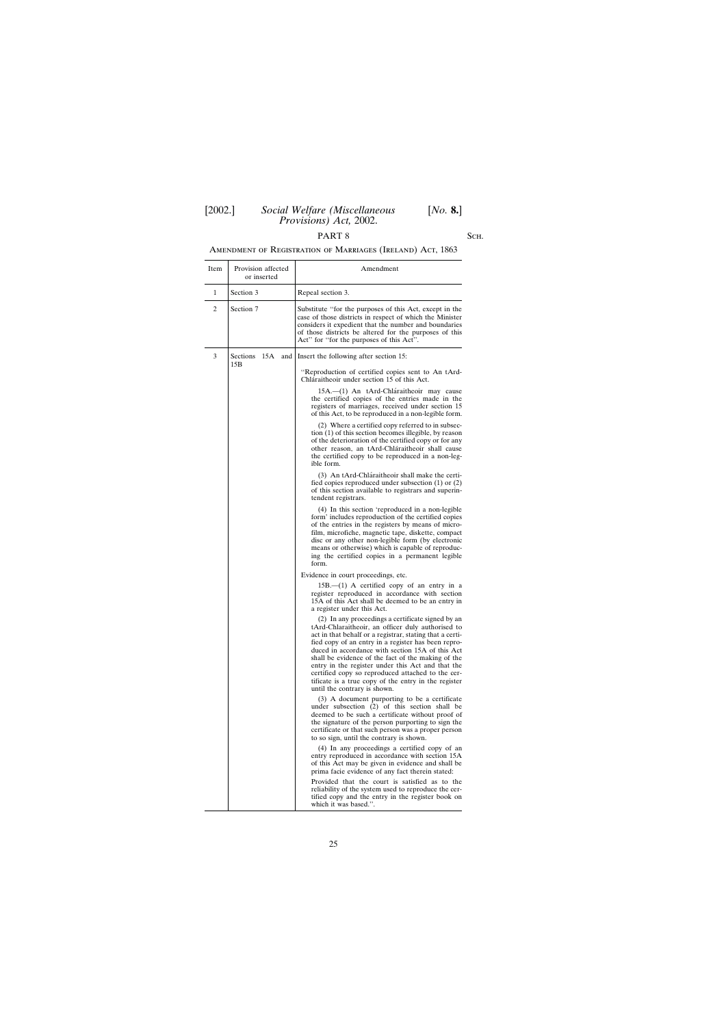# PART 8 SCH.

# Amendment of Registration of Marriages (Ireland) Act, 1863

| Item | Provision affected<br>or inserted | Amendment                                                                                                                                                                                                                                                                                                                                                                                                                                                                                                                             |
|------|-----------------------------------|---------------------------------------------------------------------------------------------------------------------------------------------------------------------------------------------------------------------------------------------------------------------------------------------------------------------------------------------------------------------------------------------------------------------------------------------------------------------------------------------------------------------------------------|
| 1    | Section 3                         | Repeal section 3.                                                                                                                                                                                                                                                                                                                                                                                                                                                                                                                     |
| 2    | Section 7                         | Substitute "for the purposes of this Act, except in the<br>case of those districts in respect of which the Minister<br>considers it expedient that the number and boundaries<br>of those districts be altered for the purposes of this<br>Act" for "for the purposes of this Act".                                                                                                                                                                                                                                                    |
| 3    | Sections<br>15B                   | 15A and Insert the following after section 15:                                                                                                                                                                                                                                                                                                                                                                                                                                                                                        |
|      |                                   | "Reproduction of certified copies sent to An tArd-<br>Chláraitheoir under section 15 of this Act.                                                                                                                                                                                                                                                                                                                                                                                                                                     |
|      |                                   | 15A.—(1) An tArd-Chláraitheoir may cause<br>the certified copies of the entries made in the<br>registers of marriages, received under section 15<br>of this Act, to be reproduced in a non-legible form.                                                                                                                                                                                                                                                                                                                              |
|      |                                   | (2) Where a certified copy referred to in subsec-<br>tion $(1)$ of this section becomes illegible, by reason<br>of the deterioration of the certified copy or for any<br>other reason, an tArd-Chláraitheoir shall cause<br>the certified copy to be reproduced in a non-leg-<br>ible form.                                                                                                                                                                                                                                           |
|      |                                   | (3) An tArd-Chláraitheoir shall make the certi-<br>fied copies reproduced under subsection $(1)$ or $(2)$<br>of this section available to registrars and superin-<br>tendent registrars.                                                                                                                                                                                                                                                                                                                                              |
|      |                                   | (4) In this section 'reproduced in a non-legible<br>form' includes reproduction of the certified copies<br>of the entries in the registers by means of micro-<br>film, microfiche, magnetic tape, diskette, compact<br>disc or any other non-legible form (by electronic<br>means or otherwise) which is capable of reproduc-<br>ing the certified copies in a permanent legible<br>form.                                                                                                                                             |
|      |                                   | Evidence in court proceedings, etc.                                                                                                                                                                                                                                                                                                                                                                                                                                                                                                   |
|      |                                   | $15B$ .— $(1)$ A certified copy of an entry in a<br>register reproduced in accordance with section<br>15A of this Act shall be deemed to be an entry in<br>a register under this Act.                                                                                                                                                                                                                                                                                                                                                 |
|      |                                   | (2) In any proceedings a certificate signed by an<br>tArd-Chlaraitheoir, an officer duly authorised to<br>act in that behalf or a registrar, stating that a certi-<br>fied copy of an entry in a register has been repro-<br>duced in accordance with section 15A of this Act<br>shall be evidence of the fact of the making of the<br>entry in the register under this Act and that the<br>certified copy so reproduced attached to the cer-<br>tificate is a true copy of the entry in the register<br>until the contrary is shown. |
|      |                                   | (3) A document purporting to be a certificate<br>under subsection $(2)$ of this section shall be<br>deemed to be such a certificate without proof of<br>the signature of the person purporting to sign the<br>certificate or that such person was a proper person<br>to so sign, until the contrary is shown.                                                                                                                                                                                                                         |
|      |                                   | (4) In any proceedings a certified copy of an<br>entry reproduced in accordance with section 15A<br>of this Act may be given in evidence and shall be<br>prima facie evidence of any fact therein stated:                                                                                                                                                                                                                                                                                                                             |
|      |                                   | Provided that the court is satisfied as to the<br>reliability of the system used to reproduce the cer-<br>tified copy and the entry in the register book on<br>which it was based.".                                                                                                                                                                                                                                                                                                                                                  |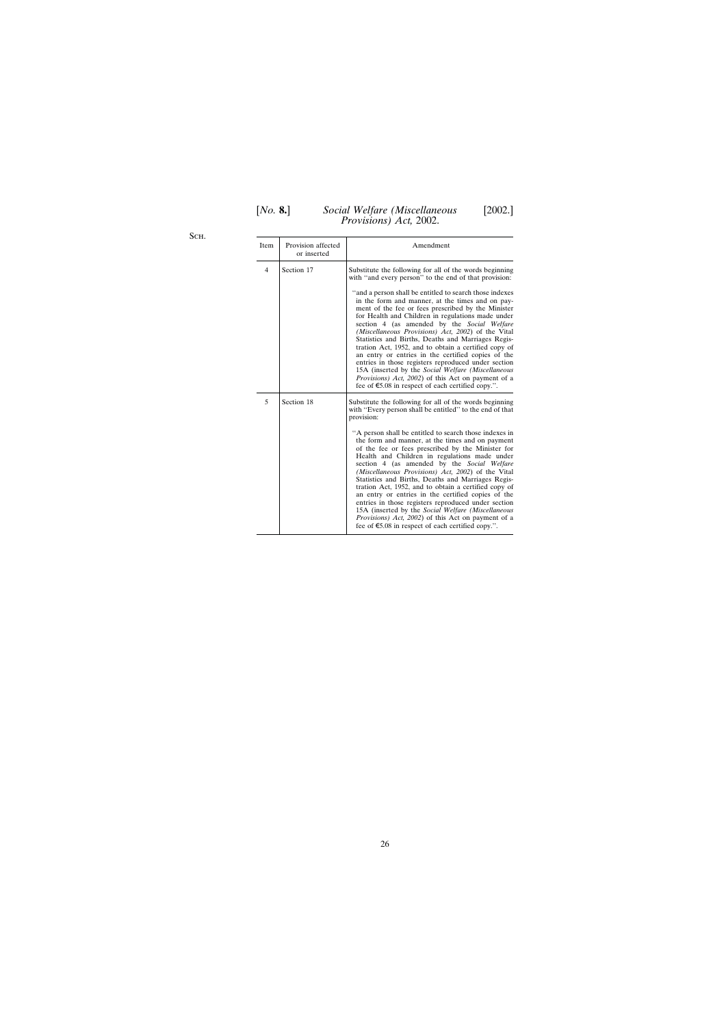Sch.

| Item | Provision affected<br>or inserted | Amendment                                                                                                                                                                                                                                                                                                                                                                                                                                                                                                                                                                                                                                                                                                                                                                                                                                                                        |
|------|-----------------------------------|----------------------------------------------------------------------------------------------------------------------------------------------------------------------------------------------------------------------------------------------------------------------------------------------------------------------------------------------------------------------------------------------------------------------------------------------------------------------------------------------------------------------------------------------------------------------------------------------------------------------------------------------------------------------------------------------------------------------------------------------------------------------------------------------------------------------------------------------------------------------------------|
| 4    | Section 17                        | Substitute the following for all of the words beginning<br>with "and every person" to the end of that provision:<br>"and a person shall be entitled to search those indexes"<br>in the form and manner, at the times and on pay-<br>ment of the fee or fees prescribed by the Minister<br>for Health and Children in regulations made under<br>section 4 (as amended by the Social Welfare<br>(Miscellaneous Provisions) Act, 2002) of the Vital<br>Statistics and Births, Deaths and Marriages Regis-<br>tration Act, 1952, and to obtain a certified copy of<br>an entry or entries in the certified copies of the<br>entries in those registers reproduced under section<br>15A (inserted by the Social Welfare (Miscellaneous<br><i>Provisions</i> ) <i>Act</i> , 2002) of this Act on payment of a<br>fee of $\epsilon$ 5.08 in respect of each certified copy.".           |
| 5    | Section 18                        | Substitute the following for all of the words beginning<br>with "Every person shall be entitled" to the end of that<br>provision:<br>"A person shall be entitled to search those indexes in<br>the form and manner, at the times and on payment<br>of the fee or fees prescribed by the Minister for<br>Health and Children in regulations made under<br>section 4 (as amended by the Social Welfare<br>(Miscellaneous Provisions) Act, 2002) of the Vital<br>Statistics and Births, Deaths and Marriages Regis-<br>tration Act, 1952, and to obtain a certified copy of<br>an entry or entries in the certified copies of the<br>entries in those registers reproduced under section<br>15A (inserted by the Social Welfare (Miscellaneous<br><i>Provisions</i> ) <i>Act</i> , 2002) of this Act on payment of a<br>fee of $\epsilon$ 5.08 in respect of each certified copy.". |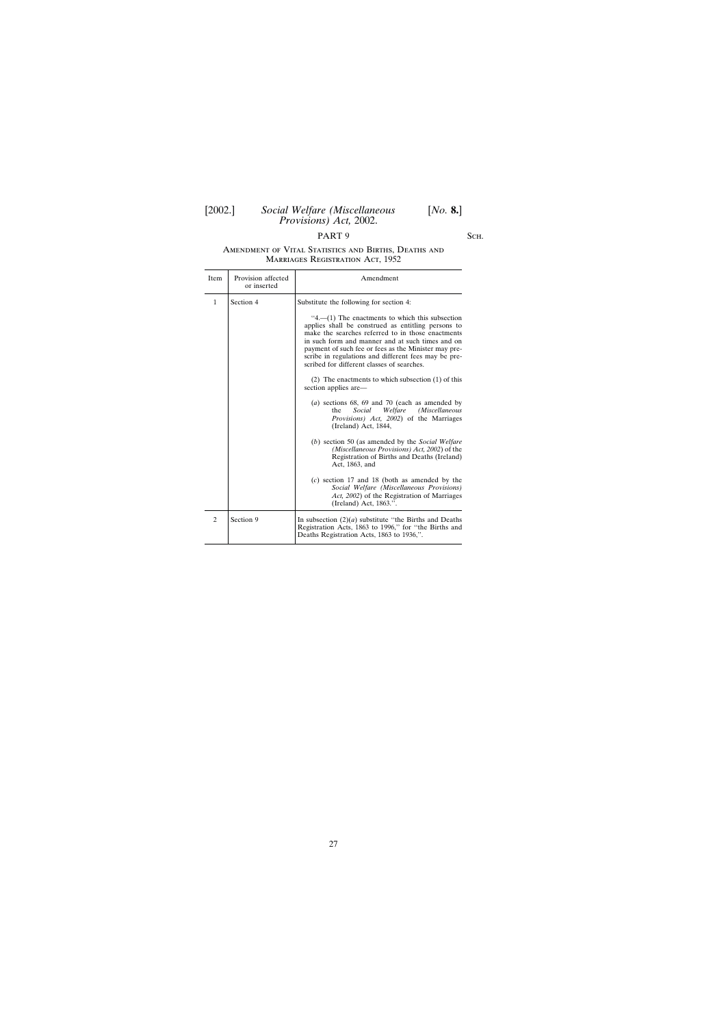# PART 9 SCH.

#### Amendment of Vital Statistics and Births, Deaths and Marriages Registration Act, 1952

| Item | Provision affected<br>or inserted | Amendment                                                                                                                                                                                                                                                                                                                                                                                                                                                                                                                                                                                                                                                                                                                                                                                                                                                                                                                                                                                                                                                    |
|------|-----------------------------------|--------------------------------------------------------------------------------------------------------------------------------------------------------------------------------------------------------------------------------------------------------------------------------------------------------------------------------------------------------------------------------------------------------------------------------------------------------------------------------------------------------------------------------------------------------------------------------------------------------------------------------------------------------------------------------------------------------------------------------------------------------------------------------------------------------------------------------------------------------------------------------------------------------------------------------------------------------------------------------------------------------------------------------------------------------------|
| 1    | Section 4                         | Substitute the following for section 4:<br>$4 - (1)$ The enactments to which this subsection<br>applies shall be construed as entitling persons to<br>make the searches referred to in those enactments<br>in such form and manner and at such times and on<br>payment of such fee or fees as the Minister may pre-<br>scribe in regulations and different fees may be pre-<br>scribed for different classes of searches.<br>$(2)$ The enactments to which subsection $(1)$ of this<br>section applies are—<br>( <i>a</i> ) sections 68, 69 and 70 (each as amended by<br>Social<br>Welfare<br>(Miscellaneous<br>the<br><i>Provisions</i> ) <i>Act</i> , 2002) of the Marriages<br>(Ireland) Act, 1844,<br>(b) section 50 (as amended by the <i>Social Welfare</i><br>(Miscellaneous Provisions) Act, 2002) of the<br>Registration of Births and Deaths (Ireland)<br>Act, 1863, and<br>$(c)$ section 17 and 18 (both as amended by the<br>Social Welfare (Miscellaneous Provisions)<br>Act, 2002) of the Registration of Marriages<br>(Ireland) Act, 1863.". |
| 2    | Section 9                         | In subsection $(2)(a)$ substitute "the Births and Deaths"<br>Registration Acts, 1863 to 1996," for "the Births and<br>Deaths Registration Acts, 1863 to 1936,".                                                                                                                                                                                                                                                                                                                                                                                                                                                                                                                                                                                                                                                                                                                                                                                                                                                                                              |